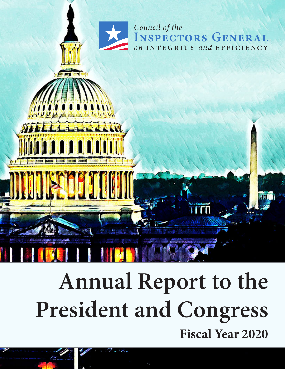

# **Annual Report to the President and Congress Fiscal Year 2020**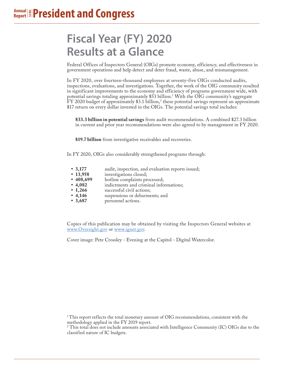# **Fiscal Year (FY) 2020 Results at a Glance**

Federal Offices of Inspectors General (OIGs) promote economy, efficiency, and effectiveness in government operations and help detect and deter fraud, waste, abuse, and mismanagement.

In FY 2020, over fourteen-thousand employees at seventy-five OIGs conducted audits, inspections, evaluations, and investigations. Together, the work of the OIG community resulted in significant improvements to the economy and efficiency of programs government wide, with potential savings totaling approximately \$53 billion.1 With the OIG community's aggregate  $\rm{FY}$  2020 budget of approximately \$3.1 billion,<sup>2</sup> these potential savings represent an approximate \$17 return on every dollar invested in the OIGs. The potential savings total includes:

**\$33.3 billion in potential savings** from audit recommendations. A combined \$27.3 billion in current and prior year recommendations were also agreed to by management in FY 2020.

**\$19.7 billion** from investigative receivables and recoveries.

In FY 2020, OIGs also considerably strengthened programs through:

- **• 3,177** audit, inspection, and evaluation reports issued;
- **13,958** investigations closed;<br>• **408,699** hotline complaints pr
- **408,699** hotline complaints processed;<br>• **4,082** indictments and criminal info
- **• 4,082** indictments and criminal informations;
- 1,266 successful civil actions;<br>• 4,146 suspensions or debarme
- **4,146** suspensions or debarments; and<br>• **3,687** personnel actions.
- **• 3,687** personnel actions.

Copies of this publication may be obtained by visiting the Inspectors General websites at www.Oversight.gov or www.ignet.gov.

Cover image: Pete Crossley - Evening at the Capitol - Digital Watercolor.

 $1$ This report reflects the total monetary amount of OIG recommendations, consistent with the methodology applied in the FY 2019 report.

 $^{2}$  This total does not include amounts associated with Intelligence Community (IC) OIGs due to the classified nature of IC budgets.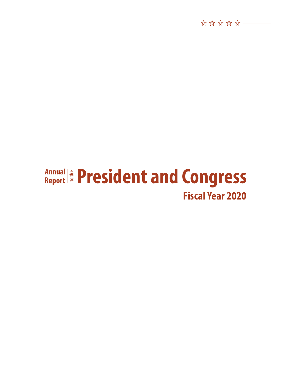### **Annual** ≇ | Annual<br>Report **Fiscal Year 2020 President and Congress**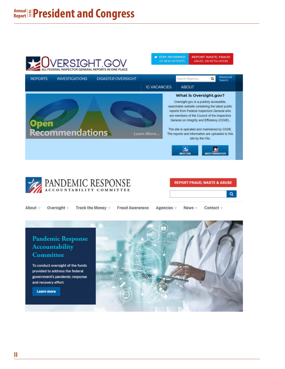### **Annual Report to the President and Congress**







About ~ Oversight v Track the Money v **Fraud Awareness** Agencies v News v Contact v

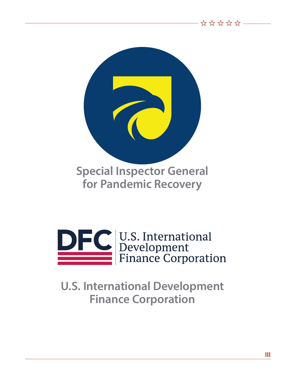



# **U.S. International Development Finance Corporation**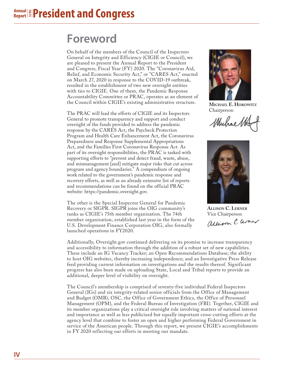#### **Annual Report to the President and Congress**

# **Foreword**

On behalf of the members of the Council of the Inspectors General on Integrity and Efficiency (CIGIE or Council), we are pleased to present the Annual Report to the President and Congress, Fiscal Year (FY) 2020. The "Coronavirus Aid, Relief, and Economic Security Act," or "CARES Act," enacted on March 27, 2020 in response to the COVID-19 outbreak, resulted in the establishment of two new oversight entities with ties to CIGIE. One of them, the Pandemic Response Accountability Committee or PRAC, operates as an element of the Council within CIGIE's existing administrative structure.

The PRAC will lead the efforts of CIGIE and its Inspectors General to promote transparency and support and conduct oversight of the funds provided to address the pandemic response by the CARES Act, the Paycheck Protection Program and Health Care Enhancement Act, the Coronavirus Preparedness and Response Supplemental Appropriations Act, and the Families First Coronavirus Response Act. As part of its oversight responsibilities, the PRAC is tasked with supporting efforts to "prevent and detect fraud, waste, abuse, and mismanagement [and] mitigate major risks that cut across program and agency boundaries." A compendium of ongoing work related to the government's pandemic response and recovery efforts, as well as an already extensive list of reports and recommendations can be found on the official PRAC website: https://pandemic.oversight.gov.

The other is the Special Inspector General for Pandemic Recovery or SIGPR. SIGPR joins the OIG community's ranks as CIGIE's 75th member organization. The 74th member organization, established last year in the form of the U.S. Development Finance Corporation OIG, also formally launched operations in FY2020.



**MICHAEL E. HOROWITZ** Chairperson

Muhaett



**ALLISON C. LERNER** Vice Chairperson

Additionally, Oversight.gov continued delivering on its promise to increase transparency and accessibility to information through the addition of a robust set of new capabilities. These include an IG Vacancy Tracker; an Open Recommendations Database; the ability to host OIG websites, thereby increasing independence; and an Investigative Press Release feed providing current information on investigations and the results thereof. Significant progress has also been made on uploading State, Local and Tribal reports to provide an additional, deeper level of visibility on oversight.

The Council's membership is comprised of seventy-five individual Federal Inspectors General (IGs) and six integrity-related senior officials from the Office of Management and Budget (OMB), OSC, the Office of Government Ethics, the Office of Personnel Management (OPM), and the Federal Bureau of Investigation (FBI). Together, CIGIE and its member organizations play a critical oversight role involving matters of national interest and importance as well as less publicized but equally important cross-cutting efforts at the agency level that combine to foster an open and higher performing Federal Government in service of the American people. Through this report, we present CIGIE's accomplishments in FY 2020 reflecting our efforts in meeting our mandate.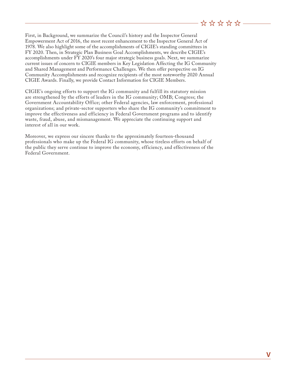First, in Background, we summarize the Council's history and the Inspector General Empowerment Act of 2016, the most recent enhancement to the Inspector General Act of 1978. We also highlight some of the accomplishments of CIGIE's standing committees in FY 2020. Then, in Strategic Plan Business Goal Accomplishments, we describe CIGIE's accomplishments under FY 2020's four major strategic business goals. Next, we summarize current issues of concern to CIGIE members in Key Legislation Affecting the IG Community and Shared Management and Performance Challenges. We then offer perspective on IG Community Accomplishments and recognize recipients of the most noteworthy 2020 Annual CIGIE Awards. Finally, we provide Contact Information for CIGIE Members.

CIGIE's ongoing efforts to support the IG community and fulfill its statutory mission are strengthened by the efforts of leaders in the IG community; OMB; Congress; the Government Accountability Office; other Federal agencies, law enforcement, professional organizations; and private-sector supporters who share the IG community's commitment to improve the effectiveness and efficiency in Federal Government programs and to identify waste, fraud, abuse, and mismanagement. We appreciate the continuing support and interest of all in our work.

Moreover, we express our sincere thanks to the approximately fourteen-thousand professionals who make up the Federal IG community, whose tireless efforts on behalf of the public they serve continue to improve the economy, efficiency, and effectiveness of the Federal Government.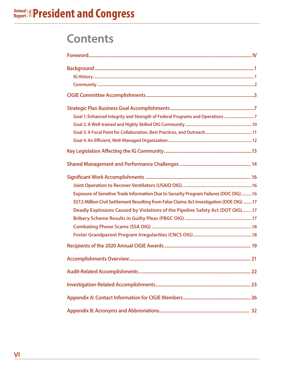# **Contents**

| Goal 1: Enhanced Integrity and Strength of Federal Programs and Operations 7                                                                                                                                                                                         |
|----------------------------------------------------------------------------------------------------------------------------------------------------------------------------------------------------------------------------------------------------------------------|
|                                                                                                                                                                                                                                                                      |
|                                                                                                                                                                                                                                                                      |
| Exposure of Sensitive Trade Information Due to Security Program Failures (DOC OIG) 16<br>\$57.5 Million Civil Settlement Resulting from False Claims Act Investigation (DOE OIG) 17<br>Deadly Explosions Caused by Violations of the Pipeline Safety Act (DOT OIG)17 |
|                                                                                                                                                                                                                                                                      |
| 21                                                                                                                                                                                                                                                                   |
|                                                                                                                                                                                                                                                                      |
|                                                                                                                                                                                                                                                                      |
|                                                                                                                                                                                                                                                                      |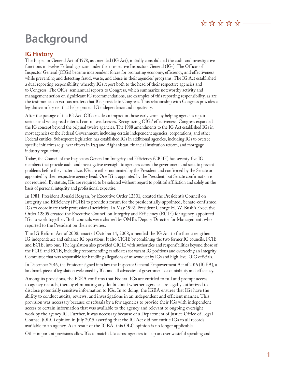# **Background**

### **IG History**

The Inspector General Act of 1978, as amended (IG Act), initially consolidated the audit and investigative functions in twelve Federal agencies under their respective Inspectors General (IGs). The Offices of Inspector General (OIGs) became independent forces for promoting economy, efficiency, and effectiveness while preventing and detecting fraud, waste, and abuse in their agencies' programs. The IG Act established a dual reporting responsibility, whereby IGs report both to the head of their respective agencies and to Congress. The OIGs' semiannual reports to Congress, which summarize noteworthy activity and management action on significant IG recommendations, are examples of this reporting responsibility, as are the testimonies on various matters that IGs provide to Congress. This relationship with Congress provides a legislative safety net that helps protect IG independence and objectivity.

After the passage of the IG Act, OIGs made an impact in those early years by helping agencies repair serious and widespread internal control weaknesses. Recognizing OIGs' effectiveness, Congress expanded the IG concept beyond the original twelve agencies. The 1988 amendments to the IG Act established IGs in most agencies of the Federal Government, including certain independent agencies, corporations, and other Federal entities. Subsequent legislation has established IGs in additional agencies, including IGs to oversee specific initiatives (e.g., war efforts in Iraq and Afghanistan, financial institution reform, and mortgage industry regulation).

Today, the Council of the Inspectors General on Integrity and Efficiency (CIGIE) has seventy-five IG members that provide audit and investigative oversight to agencies across the government and seek to prevent problems before they materialize. IGs are either nominated by the President and confirmed by the Senate or appointed by their respective agency head. One IG is appointed by the President, but Senate confirmation is not required. By statute, IGs are required to be selected without regard to political affiliation and solely on the basis of personal integrity and professional expertise.

In 1981, President Ronald Reagan, by Executive Order 12301, created the President's Council on Integrity and Efficiency (PCIE) to provide a forum for the presidentially-appointed, Senate-confirmed IGs to coordinate their professional activities. In May 1992, President George H. W. Bush's Executive Order 12805 created the Executive Council on Integrity and Efficiency (ECIE) for agency-appointed IGs to work together. Both councils were chaired by OMB's Deputy Director for Management, who reported to the President on their activities.

The IG Reform Act of 2008, enacted October 14, 2008, amended the IG Act to further strengthen IG independence and enhance IG operations. It also CIGIE by combining the two former IG councils, PCIE and ECIE, into one. The legislation also provided CIGIE with authorities and responsibilities beyond those of the PCIE and ECIE, including recommending candidates for vacant IG positions and overseeing an Integrity Committee that was responsible for handling allegations of misconduct by IGs and high-level OIG officials.

In December 2016, the President signed into law the Inspector General Empowerment Act of 2016 (IGEA), a landmark piece of legislation welcomed by IGs and all advocates of government accountability and efficiency.

Among its provisions, the IGEA confirms that Federal IGs are entitled to full and prompt access to agency records, thereby eliminating any doubt about whether agencies are legally authorized to disclose potentially sensitive information to IGs. In so doing, the IGEA ensures that IGs have the ability to conduct audits, reviews, and investigations in an independent and efficient manner. This provision was necessary because of refusals by a few agencies to provide their IGs with independent access to certain information that was available to the agency and relevant to ongoing oversight work by the agency IG. Further, it was necessary because of a Department of Justice Office of Legal Counsel (OLC) opinion in July 2015 asserting that the IG Act did not entitle IGs to all records available to an agency. As a result of the IGEA, this OLC opinion is no longer applicable.

Other important provisions allow IGs to match data across agencies to help uncover wasteful spending and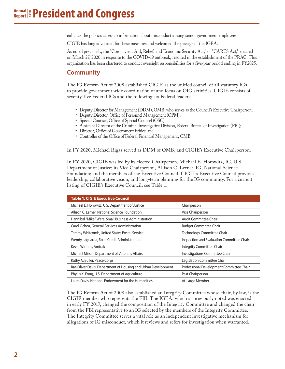enhance the public's access to information about misconduct among senior government employees.

CIGIE has long advocated for these measures and welcomed the passage of the IGEA.

As noted previously, the "Coronavirus Aid, Relief, and Economic Security Act," or "CARES Act," enacted on March 27, 2020 in response to the COVID-19 outbreak, resulted in the establishment of the PRAC. This organization has been chartered to conduct oversight responsibilities for a five-year period ending in FY2025.

### **Community**

The IG Reform Act of 2008 established CIGIE as the unified council of all statutory IGs to provide government wide coordination of and focus on OIG activities. CIGIE consists of seventy-five Federal IGs and the following six Federal leaders:

- Deputy Director for Management (DDM), OMB, who serves as the Council's Executive Chairperson;
- Deputy Director, Office of Personnel Management (OPM);
- Special Counsel, Office of Special Counsel (OSC);
- Assistant Director of the Criminal Investigative Division, Federal Bureau of Investigation (FBI);
- Director, Office of Government Ethics; and
- Controller of the Office of Federal Financial Management, OMB.

In FY 2020, Michael Rigas served as DDM of OMB, and CIGIE's Executive Chairperson.

In FY 2020, CIGIE was led by its elected Chairperson, Michael E. Horowitz, IG, U.S. Department of Justice; its Vice Chairperson, Allison C. Lerner, IG, National Science Foundation; and the members of the Executive Council. CIGIE's Executive Council provides leadership, collaborative vision, and long-term planning for the IG community. For a current listing of CIGIE's Executive Council, see Table 1.

| <b>Table 1. CIGIE Executive Council</b>                       |                                           |
|---------------------------------------------------------------|-------------------------------------------|
| Michael E. Horowitz, U.S. Department of Justice               | Chairperson                               |
| Allison C. Lerner, National Science Foundation                | Vice Chairperson                          |
| Hannibal "Mike" Ware, Small Business Administration           | Audit Committee Chair                     |
| Carol Ochoa, General Services Administration                  | <b>Budget Committee Chair</b>             |
| Tammy Whitcomb, United States Postal Service                  | Technology Committee Chair                |
| Wendy Laguarda, Farm Credit Administration                    | Inspection and Evaluation Committee Chair |
| Kevin Winters, Amtrak                                         | Integrity Committee Chair                 |
| Michael Missal, Department of Veterans Affairs                | Investigations Committee Chair            |
| Kathy A. Buller, Peace Corps                                  | Legislation Committee Chair               |
| Rae Oliver Davis, Department of Housing and Urban Development | Professional Development Committee Chair  |
| Phyllis K. Fong, U.S. Department of Agriculture               | Past Chairperson                          |
| Laura Davis, National Endowment for the Humanities            | At-Large Member                           |

The IG Reform Act of 2008 also established an Integrity Committee whose chair, by law, is the CIGIE member who represents the FBI. The IGEA, which as previously noted was enacted in early FY 2017, changed the composition of the Integrity Committee and changed the chair from the FBI representative to an IG selected by the members of the Integrity Committee. The Integrity Committee serves a vital role as an independent investigative mechanism for allegations of IG misconduct, which it reviews and refers for investigation when warranted.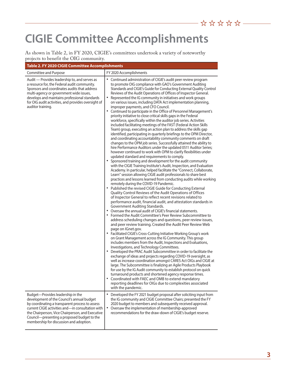# **CIGIE Committee Accomplishments**

As shown in Table 2, in FY 2020, CIGIE's committees undertook a variety of noteworthy projects to benefit the OIG community.

| Table 2. FY 2020 CIGIE Committee Accomplishments                                                                                                                                                                                                                                                                                      |                                                                                                                                                                                                                                                                                                                                                                                                                                                                                                                                                                                                                                                                                                                                                                                                                                                                                                                                                                                                                                                                                                                                                                                                                                                                                                                                                                                                                                                                                                                                                                                                                                                                                                                                                                                                                                                                                                                                                                                                                                                                                                                                                                                                                                                                                                                                                                                                                                                                                                                                                                                                                                                                                                                                                                                                                                                                                                                                                                                                                              |  |  |
|---------------------------------------------------------------------------------------------------------------------------------------------------------------------------------------------------------------------------------------------------------------------------------------------------------------------------------------|------------------------------------------------------------------------------------------------------------------------------------------------------------------------------------------------------------------------------------------------------------------------------------------------------------------------------------------------------------------------------------------------------------------------------------------------------------------------------------------------------------------------------------------------------------------------------------------------------------------------------------------------------------------------------------------------------------------------------------------------------------------------------------------------------------------------------------------------------------------------------------------------------------------------------------------------------------------------------------------------------------------------------------------------------------------------------------------------------------------------------------------------------------------------------------------------------------------------------------------------------------------------------------------------------------------------------------------------------------------------------------------------------------------------------------------------------------------------------------------------------------------------------------------------------------------------------------------------------------------------------------------------------------------------------------------------------------------------------------------------------------------------------------------------------------------------------------------------------------------------------------------------------------------------------------------------------------------------------------------------------------------------------------------------------------------------------------------------------------------------------------------------------------------------------------------------------------------------------------------------------------------------------------------------------------------------------------------------------------------------------------------------------------------------------------------------------------------------------------------------------------------------------------------------------------------------------------------------------------------------------------------------------------------------------------------------------------------------------------------------------------------------------------------------------------------------------------------------------------------------------------------------------------------------------------------------------------------------------------------------------------------------------|--|--|
| Committee and Purpose                                                                                                                                                                                                                                                                                                                 | FY 2020 Accomplishments                                                                                                                                                                                                                                                                                                                                                                                                                                                                                                                                                                                                                                                                                                                                                                                                                                                                                                                                                                                                                                                                                                                                                                                                                                                                                                                                                                                                                                                                                                                                                                                                                                                                                                                                                                                                                                                                                                                                                                                                                                                                                                                                                                                                                                                                                                                                                                                                                                                                                                                                                                                                                                                                                                                                                                                                                                                                                                                                                                                                      |  |  |
| Audit — Provides leadership to, and serves as<br>a resource for, the Federal audit community.<br>Sponsors and coordinates audits that address<br>multi-agency or government wide issues,<br>develops and maintains professional standards<br>for OIG audit activities, and provides oversight of<br>auditor training.                 | $\bullet$<br>Continued administration of CIGIE's audit peer review program<br>to promote OIG compliance with GAO's Government Auditing<br>Standards and CIGIE's Guide for Conducting External Quality Control<br>Reviews of the Audit Operations of Offices of Inspector General.<br>Represented the IG community in initiatives and work groups<br>on various issues, including DATA Act implementation planning,<br>improper payments, and CFO Council.<br>Continued to participate in the Office of Personnel Management's<br>priority initiative to close critical skills gaps in the Federal<br>workforce, specifically within the auditor job series. Activities<br>included facilitating meetings of the FAST (Federal Action Skills<br>Team) group, executing an action plan to address the skills gap<br>identified, participating in quarterly briefings to the OPM Director,<br>and coordinating accountability community comments on draft<br>changes to the OPM job series. Successfully attained the ability to<br>hire Performance Auditors under the updated 0511 Auditor Series;<br>however continued to work with OPM to clarify flexibilities under<br>updated standard and requirements to comply.<br>• Sponsored training and development for the audit community<br>with the CIGIE Training Institute's Audit, Inspection, and Evaluation<br>Academy. In particular, helped facilitate the "Connect, Collaborate,<br>Learn" session allowing CIGIE audit professionals to share best<br>practices and lessons learned from conducting audits while working<br>remotely during the COVID-19 Pandemic.<br>• Published the revised CIGIE Guide for Conducting External<br>Quality Control Reviews of the Audit Operations of Offices<br>of Inspector General to reflect recent revisions related to<br>performance audit, financial audit, and attestation standards in<br>Government Auditing Standards.<br>• Oversaw the annual audit of CIGIE's financial statements.<br>Formed the Audit Committee's Peer Review Subcommittee to<br>address scheduling changes and questions, peer review issues,<br>and peer review training. Created the Audit Peer Review Web<br>page on IGnet.gov.<br>• Facilitated CIGIE's Cross-Cutting Initiative Working Group's work<br>on Grant Management across the IG Community. This group<br>includes members from the Audit, Inspections and Evaluations,<br>Investigations, and Technology Committees.<br>• Developed the PRAC Audit Subcommittee in order to facilitate the<br>exchange of ideas and projects regarding COVID-19 oversight, as<br>well as increase coordination amongst CARES Act OIGs and CIGIE at<br>large. The Subcommittee is finalizing an Agile Products Playbook<br>for use by the IG Audit community to establish protocol on quick<br>turnaround products and shortened agency response times.<br>• Coordinated with FAEC and OMB to extend mandatory<br>reporting deadlines for OIGs due to complexities associated<br>with the pandemic. |  |  |
| Budget-Provides leadership in the<br>development of the Council's annual budget<br>by coordinating a transparent process to assess<br>current CIGIE activities and—in consultation with<br>the Chairperson, Vice Chairperson, and Executive<br>Council-presenting a proposed budget to the<br>membership for discussion and adoption. | Developed the FY 2021 budget proposal after soliciting input from<br>$\bullet$<br>the IG community and CIGIE Committee Chairs; presented the FY<br>2020 budget to members and subsequently received approval.<br>$\bullet$<br>Oversaw the implementation of membership-approved<br>recommendations for the draw-down of CIGIE's budget reserve.                                                                                                                                                                                                                                                                                                                                                                                                                                                                                                                                                                                                                                                                                                                                                                                                                                                                                                                                                                                                                                                                                                                                                                                                                                                                                                                                                                                                                                                                                                                                                                                                                                                                                                                                                                                                                                                                                                                                                                                                                                                                                                                                                                                                                                                                                                                                                                                                                                                                                                                                                                                                                                                                              |  |  |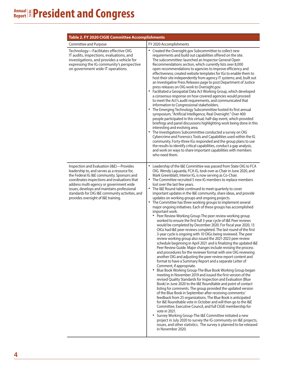| Table 2. FY 2020 CIGIE Committee Accomplishments                                                                                                                                                                                                                                                                                                                           |                                                                                                                                                                                                                                                                                                                                                                                                                                                                                                                                                                                                                                                                                                                                                                                                                                                                                                                                                                                                                                                                                                                                                                                                                                                                                                                                                                                                                                                                                                                                                                                                                                                                                                                                                                                                                                                                                                                                                                                                                                                                                                                                                                                                                                                                                 |
|----------------------------------------------------------------------------------------------------------------------------------------------------------------------------------------------------------------------------------------------------------------------------------------------------------------------------------------------------------------------------|---------------------------------------------------------------------------------------------------------------------------------------------------------------------------------------------------------------------------------------------------------------------------------------------------------------------------------------------------------------------------------------------------------------------------------------------------------------------------------------------------------------------------------------------------------------------------------------------------------------------------------------------------------------------------------------------------------------------------------------------------------------------------------------------------------------------------------------------------------------------------------------------------------------------------------------------------------------------------------------------------------------------------------------------------------------------------------------------------------------------------------------------------------------------------------------------------------------------------------------------------------------------------------------------------------------------------------------------------------------------------------------------------------------------------------------------------------------------------------------------------------------------------------------------------------------------------------------------------------------------------------------------------------------------------------------------------------------------------------------------------------------------------------------------------------------------------------------------------------------------------------------------------------------------------------------------------------------------------------------------------------------------------------------------------------------------------------------------------------------------------------------------------------------------------------------------------------------------------------------------------------------------------------|
| <b>Committee and Purpose</b>                                                                                                                                                                                                                                                                                                                                               | FY 2020 Accomplishments                                                                                                                                                                                                                                                                                                                                                                                                                                                                                                                                                                                                                                                                                                                                                                                                                                                                                                                                                                                                                                                                                                                                                                                                                                                                                                                                                                                                                                                                                                                                                                                                                                                                                                                                                                                                                                                                                                                                                                                                                                                                                                                                                                                                                                                         |
| Technology-Facilitates effective OIG<br>IT audits, inspections, evaluations, and<br>investigations, and provides a vehicle for<br>expressing the IG community's perspective<br>on government wide IT operations.                                                                                                                                                           | Created the Oversight.gov Subcommittee to collect new<br>requirements and build out capabilities offered on the site.<br>The subcommittee: launched an Inspector General Open<br>Recommendations section, which currently lists over 8,000<br>open recommendations to agencies to improve efficiency and<br>effectiveness; created website templates for IGs to enable them to<br>host their site independently from agency IT systems; and, built out<br>an Investigative Press Releases page to post Department of Justice<br>press releases on OIG work to Oversight.gov.<br>• Facilitated a Geospatial Data Act Working Group, which developed<br>a consensus response on how covered agencies would proceed<br>to meet the Act's audit requirements, and communicated that<br>information to Congressional stakeholders.<br>• The Emerging Technology Subcommittee hosted its first annual<br>symposium, "Artificial Intelligence, Real Oversight." Over 400<br>people participated in this virtual, half-day event, which provided<br>briefings and panel discussions highlighting work being done in this<br>interesting and evolving area.<br>The Investigations Subcommittee conducted a survey on OIG<br>Cybercrime and Forensics Tools and Capabilities used within the IG<br>community. Forty-three IGs responded and the group plans to use<br>the results to identify critical capabilities, conduct a gap analysis,<br>and work on ways to share important capabilities with members<br>who need them.                                                                                                                                                                                                                                                                                                                                                                                                                                                                                                                                                                                                                                                                                                                                                           |
| Inspection and Evaluation (I&E)-Provides<br>leadership to, and serves as a resource for,<br>the Federal IG I&E community. Sponsors and<br>coordinates inspections and evaluations that<br>address multi-agency or government wide<br>issues, develops and maintains professional<br>standards for OIG I&E community activities, and<br>provides oversight of I&E training. | Leadership of the I&E Committee was passed from State OIG to FCA<br>OIG. Wendy Laguarda, FCA IG, took over as Chair in June 2020, and<br>Mark Greenblatt, Interior IG, is now serving as Co-Chair.<br>٠<br>The Committee recruited 5 new IG members to replace members<br>lost over the last few years.<br>The I&E Round-table continued to meet quarterly to cover<br>$\bullet$<br>important updates in the I&E community, share ideas, and provide<br>updates on working groups and ongoing projects.<br>٠<br>The Committee has three working groups to implement several<br>major ongoing initiatives. Each of these groups has accomplished<br>important work.<br>Peer Review Working Group-The peer review working group<br>worked to ensure the first full 3-year cycle of I&E Peer reviews<br>would be completed by December 2020. For fiscal year 2020, 13<br>OIGs had I&E peer reviews completed. The last round of the first<br>3-year cycle is ongoing with 10 OIGs being reviewed. The peer<br>review working group also issued the 2021-2023 peer review<br>schedule beginning in April 2021 and is finalizing the updated I&E<br>Peer Review Guide. Major changes include revising the process<br>and procedures for the reviewer format with one OIG reviewing<br>another OIG and adjusting the peer review report content and<br>format to have a Summary Report and a separate Letter of<br>Comment, if appropriate.<br>Blue Book Working Group-The Blue Book Working Group began<br>٠<br>meeting in November 2019 and issued the first version of the<br>revised Quality Standards for Inspection and Evaluation (Blue<br>Book) in June 2020 to the I&E Roundtable and point of contact<br>listing for comments. The group provided the updated version<br>of the Blue Book in September after receiving comments/<br>feedback from 25 organizations. The Blue Book is anticipated<br>for I&E Roundtable vote in October and will then go to the I&E<br>Committee, Executive Council, and full CIGIE membership for<br>vote in 2021.<br>Survey Working Group-The I&E Committee initiated a new<br>project in July 2020 to survey the IG community on I&E projects,<br>issues, and other statistics. The survey is planned to be released<br>in November 2020. |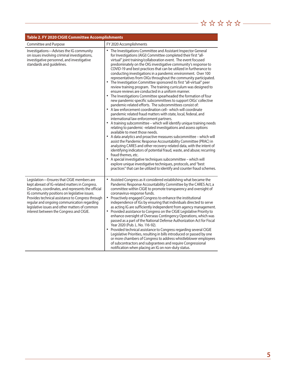### **Table 2. FY 2020 CIGIE Committee Accomplishments**

| Committee and Purpose                                                                                                                                                                                                                                                                                                                                                                                  | FY 2020 Accomplishments                                                                                                                                                                                                                                                                                                                                                                                                                                                                                                                                                                                                                                                                                                                                                                                                                                                                                                                                                                                                                                                                                                                                                                                                                                                                                                                                                                                                                                                                                                                                                                                                                                                                                                                                               |
|--------------------------------------------------------------------------------------------------------------------------------------------------------------------------------------------------------------------------------------------------------------------------------------------------------------------------------------------------------------------------------------------------------|-----------------------------------------------------------------------------------------------------------------------------------------------------------------------------------------------------------------------------------------------------------------------------------------------------------------------------------------------------------------------------------------------------------------------------------------------------------------------------------------------------------------------------------------------------------------------------------------------------------------------------------------------------------------------------------------------------------------------------------------------------------------------------------------------------------------------------------------------------------------------------------------------------------------------------------------------------------------------------------------------------------------------------------------------------------------------------------------------------------------------------------------------------------------------------------------------------------------------------------------------------------------------------------------------------------------------------------------------------------------------------------------------------------------------------------------------------------------------------------------------------------------------------------------------------------------------------------------------------------------------------------------------------------------------------------------------------------------------------------------------------------------------|
| Investigations-Advises the IG community<br>on issues involving criminal investigations,<br>investigative personnel, and investigative<br>standards and guidelines.                                                                                                                                                                                                                                     | The Investigations Committee and Assistant Inspector General<br>for Investigations (AIGI) Committee completed their first "all-<br>virtual" joint training/collaboration event. The event focused<br>predominately on the OIG investigative community's response to<br>COVID-19 and best practices that can be utilized in furtherance to<br>conducting investigations in a pandemic environment. Over 100<br>representatives from OIGs throughout the community participated.<br>The Investigation Committee sponsored its first "all-virtual" peer<br>review training program. The training curriculum was designed to<br>ensure reviews are conducted in a uniform manner.<br>• The Investigations Committee spearheaded the formation of four<br>new pandemic-specific subcommittees to support OIGs' collective<br>pandemic-related efforts. The subcommittees consist of:<br>• A law enforcement coordination cell- which will coordinate<br>pandemic related fraud matters with state, local, federal, and<br>international law enforcement partners.<br>• A training subcommittee - which will identify unique training needs<br>relating to pandemic-related investigations and assess options<br>available to meet those needs.<br>• A data analytics and proactive measures subcommittee - which will<br>assist the Pandemic Response Accountability Committee (PRAC) in<br>analyzing CARES and other recovery-related data, with the intent of<br>identifying indicators of potential fraud, waste, and abuse; recurring<br>fraud themes, etc.<br>A special investigative techniques subcommittee - which will<br>explore unique investigative techniques, protocols, and "best<br>practices" that can be utilized to identify and counter fraud schemes. |
| Legislation-Ensures that CIGIE members are<br>kept abreast of IG-related matters in Congress.<br>Develops, coordinates, and represents the official<br>IG community positions on legislative issues.<br>Provides technical assistance to Congress through<br>regular and ongoing communication regarding<br>legislative issues and other matters of common<br>interest between the Congress and CIGIE. | Assisted Congress as it considered establishing what became the<br>Pandemic Response Accountability Committee by the CARES Act, a<br>committee within CIGIE to promote transparency and oversight of<br>coronavirus-response funds.<br>Proactively engaged Congress to enhance the institutional<br>independence of IGs by ensuring that individuals directed to serve<br>as acting IG are sufficiently independent from agency management.<br>Provided assistance to Congress on the CIGIE Legislative Priority to<br>enhance oversight of Overseas Contingency Operations, which was<br>passed as a part of the National Defense Authorization Act for Fiscal<br>Year 2020 (Pub. L. No. 116-92).<br>Provided technical assistance to Congress regarding several CIGIE<br>Legislative Priorities, resulting in bills introduced or passed by one<br>or more chambers of Congress to address whistleblower employees<br>of subcontractors and subgrantees and require Congressional<br>notification when placing an IG on non-duty status.                                                                                                                                                                                                                                                                                                                                                                                                                                                                                                                                                                                                                                                                                                                            |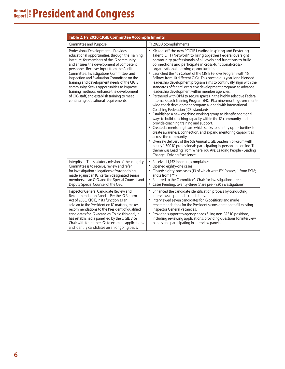| Table 2. FY 2020 CIGIE Committee Accomplishments                                                                                                                                                                                                                                                                                                                                                                                                                                                                                                      |                                                                                                                                                                                                                                                                                                                                                                                                                                                                                                                                                                                                                                                                                                                                                                                                                                                                                                                                                                                                                                                                                                                                                                                                                                                                                                                                                                                                                                                                                                         |  |  |
|-------------------------------------------------------------------------------------------------------------------------------------------------------------------------------------------------------------------------------------------------------------------------------------------------------------------------------------------------------------------------------------------------------------------------------------------------------------------------------------------------------------------------------------------------------|---------------------------------------------------------------------------------------------------------------------------------------------------------------------------------------------------------------------------------------------------------------------------------------------------------------------------------------------------------------------------------------------------------------------------------------------------------------------------------------------------------------------------------------------------------------------------------------------------------------------------------------------------------------------------------------------------------------------------------------------------------------------------------------------------------------------------------------------------------------------------------------------------------------------------------------------------------------------------------------------------------------------------------------------------------------------------------------------------------------------------------------------------------------------------------------------------------------------------------------------------------------------------------------------------------------------------------------------------------------------------------------------------------------------------------------------------------------------------------------------------------|--|--|
| Committee and Purpose                                                                                                                                                                                                                                                                                                                                                                                                                                                                                                                                 | FY 2020 Accomplishments                                                                                                                                                                                                                                                                                                                                                                                                                                                                                                                                                                                                                                                                                                                                                                                                                                                                                                                                                                                                                                                                                                                                                                                                                                                                                                                                                                                                                                                                                 |  |  |
| Professional Development-Provides<br>educational opportunities, through the Training<br>Institute, for members of the IG community<br>and ensures the development of competent<br>personnel. Receives input from the Audit<br>Committee, Investigations Committee, and<br>Inspection and Evaluation Committee on the<br>training and development needs of the CIGIE<br>community. Seeks opportunities to improve<br>training methods, enhance the development<br>of OIG staff, and establish training to meet<br>continuing educational requirements. | Kicked-off the new "CIGIE Leading Inspiring and Fostering<br>$\bullet$<br>Talent (LIFT) Network" to bring together Federal oversight<br>community professionals of all levels and functions to build<br>connections and participate in cross-functional/cross-<br>organizational learning opportunities.<br>• Launched the 4th Cohort of the CIGIE Fellows Program with 16<br>Fellows from 10 different OIGs. This prestigious year-long blended<br>leadership development program aims to continually align with the<br>standards of federal executive development programs to advance<br>leadership development within member agencies.<br>• Partnered with OPM to secure spaces in the highly selective Federal<br>Internal Coach Training Program (FICTP), a nine-month government-<br>wide coach development program aligned with International<br>Coaching Federation (ICF) standards.<br>• Established a new coaching working group to identify additional<br>ways to build coaching capacity within the IG community and<br>provide coaching training and support.<br>• Created a mentoring team which seeks to identify opportunities to<br>create awareness, connection, and expand mentoring capabilities<br>across the community.<br>Oversaw delivery of the 6th Annual CIGIE Leadership Forum with<br>$\bullet$<br>nearly 1,300 IG professionals participating in-person and online. The<br>theme was Leading From Where You Are: Leading People - Leading<br>Change - Driving Excellence. |  |  |
| Integrity-The statutory mission of the Integrity<br>Committee is to receive, review and refer<br>for investigation allegations of wrongdoing<br>made against an IG, certain designated senior<br>members of an OIG, and the Special Counsel and<br>Deputy Special Counsel of the OSC.                                                                                                                                                                                                                                                                 | $\bullet$<br>Received 1,152 incoming complaints:<br>Opened eighty-one cases<br>$\bullet$<br>Closed: eighty-one cases (13 of which were FY19 cases; 1 from FY18;<br>and 2 from FY17)<br>$\bullet$<br>Referred to the Committee's Chair for investigation: three<br>Cases Pending: twenty-three (7 are pre-FY20 investigations)                                                                                                                                                                                                                                                                                                                                                                                                                                                                                                                                                                                                                                                                                                                                                                                                                                                                                                                                                                                                                                                                                                                                                                           |  |  |
| Inspector General Candidate Review and<br>Recommendation Panel-Per the IG Reform<br>Act of 2008, CIGIE, in its function as an<br>advisor to the President on IG matters, makes<br>recommendations to the President of qualified<br>candidates for IG vacancies. To aid this goal, it<br>has established a panel led by the CIGIE Vice<br>Chair with four other IGs to examine applications<br>and identify candidates on an ongoing basis.                                                                                                            | Enhanced the candidate identification process by conducting<br>interviews of potential candidates.<br>Interviewed seven candidates for IG positions and made<br>$\bullet$<br>recommendations for the President's consideration to fill existing<br>Inspector General vacancies.<br>• Provided support to agency heads filling non-PAS IG positions,<br>including reviewing applications, providing questions for interview<br>panels and participating in interview panels.                                                                                                                                                                                                                                                                                                                                                                                                                                                                                                                                                                                                                                                                                                                                                                                                                                                                                                                                                                                                                             |  |  |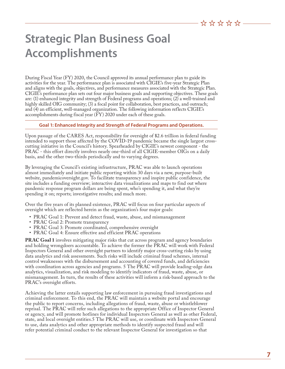# **Strategic Plan Business Goal Accomplishments**

During Fiscal Year (FY) 2020, the Council approved its annual performance plan to guide its activities for the year. The performance plan is associated with CIGIE's five-year Strategic Plan and aligns with the goals, objectives, and performance measures associated with the Strategic Plan. CIGIE's performance plan sets out four major business goals and supporting objectives. These goals are: (1) enhanced integrity and strength of Federal programs and operations; (2) a well-trained and highly skilled OIG community; (3) a focal point for collaboration, best practices, and outreach; and (4) an efficient, well-managed organization. The following information reflects CIGIE's accomplishments during fiscal year (FY) 2020 under each of these goals.

#### **Goal 1: Enhanced Integrity and Strength of Federal Programs and Operations.**

Upon passage of the CARES Act, responsibility for oversight of \$2.6 trillion in federal funding intended to support those affected by the COVID-19 pandemic became the single largest crosscutting initiative in the Council's history. Spearheaded by CIGIE's newest component - the PRAC - this effort directly involves nearly one-third of all CIGIE-member OIGs on a daily basis, and the other two-thirds periodically and to varying degrees.

By leveraging the Council's existing infrastructure, PRAC was able to launch operations almost immediately and initiate public reporting within 30 days via a new, purpose-built website, pandemicoversight.gov. To facilitate transparency and inspire public confidence, the site includes a funding overview; interactive data visualizations and maps to find out where pandemic response program dollars are being spent, who's spending it, and what they're spending it on; reports; investigative results; and much more.

Over the five years of its planned existence, PRAC will focus on four particular aspects of oversight which are reflected herein as the organization's four major goals:

- PRAC Goal 1: Prevent and detect fraud, waste, abuse, and mismanagement
- PRAC Goal 2: Promote transparency
- PRAC Goal 3: Promote coordinated, comprehensive oversight
- PRAC Goal 4: Ensure effective and efficient PRAC operations

**PRAC Goal 1** involves mitigating major risks that cut across program and agency boundaries and holding wrongdoers accountable. To achieve the former the PRAC will work with Federal Inspectors General and other oversight partners to identify major cross-cutting risks by using data analytics and risk assessments. Such risks will include criminal fraud schemes, internal control weaknesses with the disbursement and accounting of covered funds, and deficiencies with coordination across agencies and programs. 5 The PRAC will provide leading-edge data analytics, visualization, and risk modeling to identify indicators of fraud, waste, abuse, or mismanagement. In turn, the results of these activities will inform a risk-based approach to the PRAC's oversight efforts.

Achieving the latter entails supporting law enforcement in pursuing fraud investigations and criminal enforcement. To this end, the PRAC will maintain a website portal and encourage the public to report concerns, including allegations of fraud, waste, abuse or whistleblower reprisal. The PRAC will refer such allegations to the appropriate Office of Inspector General or agency, and will promote hotlines for individual Inspectors General as well as other Federal, state, and local oversight entities.5 The PRAC will use, or coordinate with Inspectors General to use, data analytics and other appropriate methods to identify suspected fraud and will refer potential criminal conduct to the relevant Inspector General for investigation so that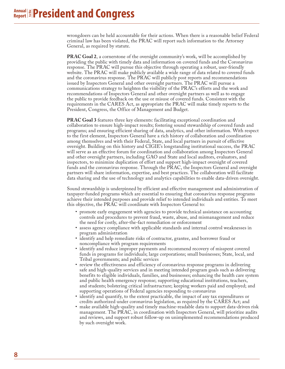wrongdoers can be held accountable for their actions. When there is a reasonable belief Federal criminal law has been violated, the PRAC will report such information to the Attorney General, as required by statute.

**PRAC Goal 2**, a cornerstone of the oversight community's work, will be accomplished by providing the public with timely data and information on covered funds and the Coronavirus response. The PRAC will pursue this objective through operating a robust, user-friendly website. The PRAC will make publicly available a wide range of data related to covered funds and the coronavirus response. The PRAC will publicly post reports and recommendations issued by Inspectors General and other oversight partners. The PRAC will pursue a communications strategy to heighten the visibility of the PRAC's efforts and the work and recommendations of Inspectors General and other oversight partners as well as to engage the public to provide feedback on the use or misuse of covered funds. Consistent with the requirements in the CARES Act, as appropriate the PRAC will make timely reports to the President, Congress, the Office of Management and Budget.

**PRAC Goal 3** features three key elements: facilitating exceptional coordination and collaboration to ensure high-impact results; fostering sound stewardship of covered funds and programs; and ensuring efficient sharing of data, analytics, and other information. With respect to the first element, Inspectors General have a rich history of collaboration and coordination among themselves and with their Federal, State, and local partners in pursuit of effective oversight. Building on this history and CIGIE's longstanding institutional success, the PRAC will serve as an effective forum for coordination and collaboration among Inspectors General and other oversight partners, including GAO and State and local auditors, evaluators, and inspectors, to minimize duplication of effort and support high-impact oversight of covered funds and the coronavirus response. Through the PRAC, the Inspectors General and oversight partners will share information, expertise, and best practices. The collaboration will facilitate data sharing and the use of technology and analytics capabilities to enable data-driven oversight.

Sound stewardship is underpinned by efficient and effective management and administration of taxpayer-funded programs which are essential to ensuring that coronavirus response programs achieve their intended purposes and provide relief to intended individuals and entities. To meet<br>this objective, the PRAC will coordinate with Inspectors General to:

- promote early engagement with agencies to provide technical assistance on accounting controls and procedures to prevent fraud, waste, abuse, and mismanagement and reduce the need for costly, after-the-fact remediation or enforcement
- assess agency compliance with applicable standards and internal control weaknesses in program administration
- identify and help remediate risks of contractor, grantee, and borrower fraud or noncompliance with program requirements
- identify and reduce improper payments and recommend recovery of misspent covered funds in programs for individuals; large corporations; small businesses; State, local, and Tribal governments; and public services
- review the effectiveness and efficiency of coronavirus response programs in delivering safe and high-quality services and in meeting intended program goals such as delivering benefits to eligible individuals, families, and businesses; enhancing the health care system and public health emergency response; supporting educational institutions, teachers, and students; bolstering critical infrastructure; keeping workers paid and employed; and supporting operations of Federal agencies responding to coronavirus
- identify and quantify, to the extent practicable, the impact of any tax expenditures or credits authorized under coronavirus legislation, as required by the CARES Act; and
- make available high-quality and timely machine-readable data to support data-driven risk management. The PRAC, in coordination with Inspectors General, will prioritize audits and reviews, and support robust follow-up on unimplemented recommendations produced by such oversight work.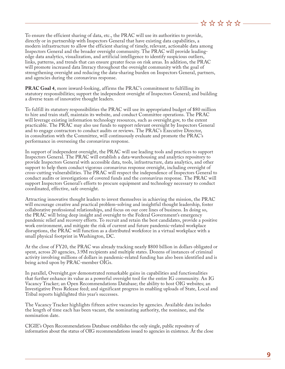To ensure the efficient sharing of data, etc., the PRAC will use its authorities to provide, directly or in partnership with Inspectors General that have existing data capabilities, a modern infrastructure to allow the efficient sharing of timely, relevant, actionable data among Inspectors General and the broader oversight community. The PRAC will provide leadingedge data analytics, visualization, and artificial intelligence to identify suspicious outliers, links, patterns, and trends that can ensure greater focus on risk areas. In addition, the PRAC will promote increased data literacy throughout the oversight community with the goal of strengthening oversight and reducing the data-sharing burden on Inspectors General, partners, and agencies during the coronavirus response.

**PRAC Goal 4**, more inward-looking, affirms the PRAC's commitment to fulfilling its statutory responsibilities; support the independent oversight of Inspectors General; and building a diverse team of innovative thought leaders.

To fulfill its statutory responsibilities the PRAC will use its appropriated budget of \$80 million to hire and train staff, maintain its website, and conduct Committee operations. The PRAC will leverage existing information technology resources, such as oversight.gov, to the extent practicable. The PRAC may also use funds to support relevant oversight by Inspectors General and to engage contractors to conduct audits or reviews. The PRAC's Executive Director, in consultation with the Committee, will continuously evaluate and promote the PRAC's performance in overseeing the coronavirus response.

In support of independent oversight, the PRAC will use leading tools and practices to support Inspectors General. The PRAC will establish a data-warehousing and analytics repository to provide Inspectors General with accessible data, tools, infrastructure, data analytics, and other support to help them conduct vigorous coronavirus response oversight, including oversight of cross-cutting vulnerabilities. The PRAC will respect the independence of Inspectors General to conduct audits or investigations of covered funds and the coronavirus response. The PRAC will support Inspectors General's efforts to procure equipment and technology necessary to conduct coordinated, effective, safe oversight.

Attracting innovative thought leaders to invest themselves in achieving the mission, the PRAC will encourage creative and practical problem-solving and insightful thought leadership, foster collaborative professional relationships, and focus on our core lines of business. In doing so, the PRAC will bring deep insight and oversight to the Federal Government's emergency pandemic relief and recovery efforts. To recruit and retain the best candidates, provide a positive work environment, and mitigate the risk of current and future pandemic-related workplace disruptions, the PRAC will function as a distributed workforce in a virtual workplace with a small physical footprint in Washington, DC.

At the close of FY20, the PRAC was already tracking nearly \$800 billion in dollars obligated or spent, across 20 agencies, 3.9M recipients and multiple states. Dozens of instances of criminal activity involving millions of dollars in pandemic-related funding has also been identified and is being acted upon by PRAC-member OIGs.

In parallel, Oversight.gov demonstrated remarkable gains in capabilities and functionalities that further enhance its value as a powerful oversight tool for the entire IG community. An IG Vacancy Tracker; an Open Recommendations Database; the ability to host OIG websites; an Investigative Press Release feed; and significant progress in enabling uploads of State, Local and Tribal reports highlighted this year's successes.

The Vacancy Tracker highlights fifteen active vacancies by agencies. Available data includes the length of time each has been vacant, the nominating authority, the nominee, and the nomination date.

CIGIE's Open Recommendations Database establishes the only single, public repository of information about the status of OIG recommendations issued to agencies in existence. At the close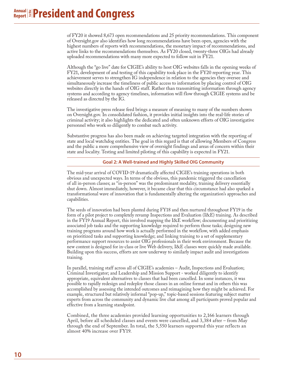of FY20 it showed 8,673 open recommendations and 25 priority recommendations. This component of Oversight.gov also identifies how long recommendations have been open, agencies with the highest numbers of reports with recommendations, the monetary impact of recommendations, and active links to the recommendations themselves. As FY20 closed, twenty-three OIGs had already uploaded recommendations with many more expected to follow suit in FY21.

Although the "go live" date for CIGIE's ability to host OIG websites falls in the opening weeks of FY21, development of and testing of this capability took place in the FY20 reporting year. This achievement serves to strengthen IG independence in relation to the agencies they oversee and simultaneously increase the timeliness of public access to information by placing control of OIG websites directly in the hands of OIG staff. Rather than transmitting information through agency systems and according to agency timelines, information will flow through CIGIE systems and be released as directed by the IG.

The investigative press release feed brings a measure of meaning to many of the numbers shown on Oversight.gov. In consolidated fashion, it provides initial insights into the real-life stories of criminal activity; it also highlights the dedicated and often unknown efforts of OIG investigative personnel who work so diligently to combat such activity.

Substantive progress has also been made on achieving targeted integration with the reporting of state and local watchdog entities. The goal in this regard is that of allowing Members of Congress and the public a more comprehensive view of oversight findings and areas of concern within their state and locality. Testing and limited piloting of this capability is expected in FY21.

**Goal 2: A Well-trained and Highly Skilled OIG Community**

The mid-year arrival of COVID-19 dramatically affected CIGIE's training operations in both obvious and unexpected ways. In terms of the obvious, this pandemic triggered the cancellation of all in-person classes; as "in-person" was the predominant modality, training delivery essentially shut down. Almost immediately, however, it became clear that this circumstance had also sparked a transformational wave of innovation that is fundamentally altering the organization's approaches and capabilities.

The seeds of innovation had been planted during FY18 and then nurtured throughout FY19 in the form of a pilot project to completely revamp Inspections and Evaluation (I&E) training. As described in the FY19 Annual Report, this involved mapping the I&E workflow; documenting and prioritizing associated job tasks and the supporting knowledge required to perform those tasks; designing new training programs around how work is actually performed in the workflow, with added emphasis on prioritized tasks and supporting knowledge; and linking training to a set of supplementary performance support resources to assist OIG professionals in their work environment. Because the new content is designed for in-class or live Web delivery, I&E classes were quickly made available. Building upon this success, efforts are now underway to similarly impact audit and investigations training.

In parallel, training staff across all of CIGIE's academies – Audit, Inspections and Evaluation; Criminal Investigator; and Leadership and Mission Support - worked diligently to identify appropriate, equivalent alternatives to classes that had been cancelled. In some instances, it was possible to rapidly redesign and redeploy those classes in an online format and in others this was accomplished by assessing the intended outcomes and reimagining how they might be achieved. For example, structured but relatively informal "pop-up," topic-based sessions featuring subject matter experts from across the community and dynamic live chat among all participants proved popular and effective from a learning standpoint.

Combined, the three academies provided learning opportunities to 2,166 learners through April, before all scheduled classes and events were cancelled, and 3,384 after – from May through the end of September. In total, the 5,550 learners supported this year reflects an almost 40% increase over FY19.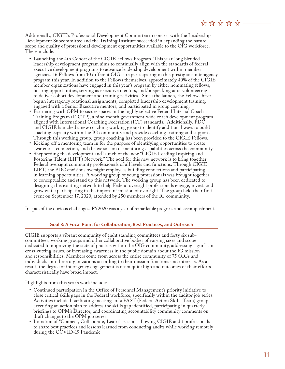Additionally, CIGIE's Professional Development Committee in concert with the Leadership Development Subcommittee and the Training Institute succeeded in expanding the nature, scope and quality of professional development opportunities available to the OIG workforce. These include:

- Launching the 4th Cohort of the CIGIE Fellows Program. This year-long blended leadership development program aims to continually align with the standards of federal executive development programs to advance leadership development within member agencies. 16 Fellows from 10 different OIGs are participating in this prestigious interagency program this year. In addition to the Fellows themselves, approximately 40% of the CIGIE member organizations have engaged in this year's program by either nominating fellows, hosting opportunities, serving as executive mentors, and/or speaking at or volunteering to deliver cohort development and training activities. Since the launch, the Fellows have begun interagency rotational assignments, completed leadership development training, engaged with a Senior Executive mentors, and participated in group coaching.
- Partnering with OPM to secure spaces in the highly selective Federal Internal Coach Training Program (FICTP), a nine-month government-wide coach development program aligned with International Coaching Federation (ICF) standards. Additionally, PDC and CIGIE launched a new coaching working group to identify additional ways to build coaching capacity within the IG community and provide coaching training and support. Through this working group, group coaching has been provided to the CIGIE Fellows.
- Kicking off a mentoring team in for the purpose of identifying opportunities to create awareness, connection, and the expansion of mentoring capabilities across the community.
- Shepherding the development and launch of the new "CIGIE Leading Inspiring and Fostering Talent (LIFT) Network." The goal for this new network is to bring together Federal oversight community professionals of all levels and functions. Through CIGIE LIFT, the PDC envisions oversight employees building connections and participating in learning opportunities. A working group of young professionals was brought together to conceptualize and stand up this network. The working group has been dedicated to designing this exciting network to help Federal oversight professionals engage, invest, and grow while participating in the important mission of oversight. The group held their first event on September 17, 2020, attended by 250 members of the IG community.

In spite of the obvious challenges, FY2020 was a year of remarkable progress and accomplishment.

#### **Goal 3: A Focal Point for Collaboration, Best Practices, and Outreach**

CIGIE supports a vibrant community of eight standing committees and forty six subcommittees, working groups and other collaborative bodies of varying sizes and scope dedicated to improving the state of practice within the OIG community, addressing significant cross-cutting issues, or increasing awareness in the public domain about the IG mission and responsibilities. Members come from across the entire community of 75 OIGs and individuals join these organizations according to their mission functions and interests. As a result, the degree of interagency engagement is often quite high and outcomes of their efforts characteristically have broad impact.

Highlights from this year's work include:

- Continued participation in the Office of Personnel Management's priority initiative to close critical skills gaps in the Federal workforce, specifically within the auditor job series. Activities included facilitating meetings of a FAST (Federal Action Skills Team) group, executing an action plan to address the skills gap identified, participating in quarterly briefings to OPM's Director, and coordinating accountability community comments on draft changes to the OPM job series.
- Initiation of "Connect, Collaborate, Learn" sessions allowing CIGIE audit professionals to share best practices and lessons learned from conducting audits while working remotely during the COVID-19 Pandemic.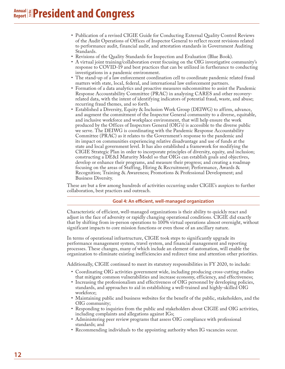- Publication of a revised CIGIE Guide for Conducting External Quality Control Reviews of the Audit Operations of Offices of Inspector General to reflect recent revisions related to performance audit, financial audit, and attestation standards in Government Auditing Standards.
- Revisions of the Quality Standards for Inspection and Evaluation (Blue Book).
- A virtual joint training/collaboration event focusing on the OIG investigative community's response to COVID-19 and best practices that can be utilized in furtherance to conducting investigations in a pandemic environment.
- The stand-up of a law enforcement coordination cell to coordinate pandemic related fraud matters with state, local, federal, and international law enforcement partners.
- Formation of a data analytics and proactive measures subcommittee to assist the Pandemic Response Accountability Committee (PRAC) in analyzing CARES and other recoveryrelated data, with the intent of identifying indicators of potential fraud, waste, and abuse; recurring fraud themes, and so forth.
- Established a Diversity, Equity & Inclusion Work Group (DEIWG) to affirm, advance, and augment the commitment of the Inspector General community to a diverse, equitable, and inclusive workforce and workplace environment, that will help ensure the work produced by the Offices of Inspectors General (OIG's) is accessible to the diverse public we serve. The DEIWG is coordinating with the Pandemic Response Accountability Committee (PRAC) as it relates to the Government's response to the pandemic and its impact on communities experiencing relative disadvantage and use of funds at the state and local government level. It has also established a framework for modifying the CIGIE Strategic Plan in order to incorporate principles of diversity, equity, and inclusion; constructing a DE&I Maturity Model so that OIGs can establish goals and objectives, develop or enhance their programs, and measure their progress; and creating a roadmap focusing on the areas of Staffing, Hiring & Recruitment; Performance, Awards & Recognition; Training & Awareness; Promotions & Professional Development; and Business Diversity.

These are but a few among hundreds of activities occurring under CIGIE's auspices to further collaboration, best practices and outreach.

#### **Goal 4: An efficient, well-managed organization**

Characteristic of efficient, well-managed organizations is their ability to quickly react and adjust in the face of adversity or rapidly changing operational conditions. CIGIE did exactly that by shifting from in-person operations to 100% virtual operations almost overnight, without significant impacts to core mission functions or even those of an ancillary nature.

In terms of operational infrastructure, CIGIE took steps to significantly upgrade its performance management system, travel system, and financial management and reporting processes. These changes, many of which include an element of automation, will enable the organization to eliminate existing inefficiencies and redirect time and attention other priorities.

Additionally, CIGIE continued to meet its statutory responsibilities in FY 2020, to include:

- Coordinating OIG activities government wide, including producing cross-cutting studies that mitigate common vulnerabilities and increase economy, efficiency, and effectiveness;
- Increasing the professionalism and effectiveness of OIG personnel by developing policies, standards, and approaches to aid in establishing a well-trained and highly-skilled OIG workforce;
- Maintaining public and business websites for the benefit of the public, stakeholders, and the OIG community;
- Responding to inquiries from the public and stakeholders about CIGIE and OIG activities, including complaints and allegations against IGs;
- Administering peer review programs that assess OIG compliance with professional standards; and
- Recommending individuals to the appointing authority when IG vacancies occur.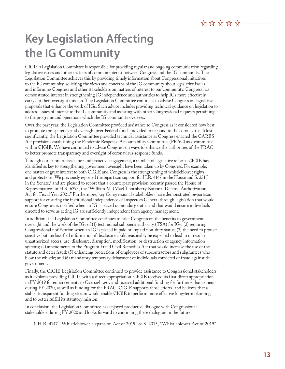# **Key Legislation Affecting the IG Community**

CIGIE's Legislation Committee is responsible for providing regular and ongoing communication regarding legislative issues and other matters of common interest between Congress and the IG community. The Legislation Committee achieves this by providing timely information about Congressional initiatives to the IG community, soliciting the views and concerns of the IG community about legislative issues, and informing Congress and other stakeholders on matters of interest to our community. Congress has demonstrated interest in strengthening IG independence and authorities to help IGs more effectively carry out their oversight mission. The Legislation Committee continues to advise Congress on legislative proposals that enhance the work of IGs. Such advice includes providing technical guidance on legislation to address issues of interest to the IG community and assisting with other Congressional requests pertaining to the programs and operations which the IG community oversees.

Over the past year, the Legislation Committee provided assistance to Congress as it considered how best to promote transparency and oversight over Federal funds provided to respond to the coronavirus. Most significantly, the Legislation Committee provided technical assistance as Congress enacted the CARES Act provisions establishing the Pandemic Response Accountability Committee (PRAC) as a committee within CIGIE. We have continued to advise Congress on ways to enhance the authorities of the PRAC to better promote transparency and oversight of coronavirus-response funds.

Through our technical assistance and proactive engagement, a number of legislative reforms CIGIE has identified as key to strengthening government oversight have been taken up by Congress. For example, one matter of great interest to both CIGIE and Congress is the strengthening of whistleblower rights and protections. We previously reported the bipartisan support for H.R. 4147 in the House and S. 2315 in the Senate, $^{\rm 1}$  and are pleased to report that a counterpart provision recently passed the House of Representatives in H.R. 6395, the "William M. (Mac) Thornberry National Defense Authorization Act for Fiscal Year 2021." Furthermore, key Congressional stakeholders have demonstrated bi-partisan support for ensuring the institutional independence of Inspectors General through legislation that would ensure Congress is notified when an IG is placed on nonduty status and that would ensure individuals directed to serve as acting IG are sufficiently independent from agency management.

In addition, the Legislation Committee continues to brief Congress on the benefits to government oversight and the work of the IGs of (1) testimonial subpoena authority (TSA) for IGs; (2) requiring Congressional notification when an IG is placed in paid or unpaid non-duty status; (3) the need to protect sensitive but unclassified information if disclosure could reasonably be expected to lead to or result in unauthorized access, use, disclosure, disruption, modification, or destruction of agency information systems; (4) amendments to the Program Fraud Civil Remedies Act that would increase the use of the statute and deter fraud; (5) enhancing protections of employees of subcontractors and subgrantees who blow the whistle; and (6) mandatory temporary debarment of individuals convicted of fraud against the government.

Finally, the CIGIE Legislation Committee continued to provide assistance to Congressional stakeholders as it explores providing CIGIE with a direct appropriation. CIGIE received its first direct appropriation in FY 2019 for enhancements to Oversight.gov and received additional funding for further enhancements during FY 2020, as well as funding for the PRAC. CIGIE supports those efforts, and believes that a stable, transparent funding stream would enable CIGIE to perform more effective long-term planning and to better fulfill its statutory mission.

In conclusion, the Legislation Committee has enjoyed productive dialogue with Congressional stakeholders during FY 2020 and looks forward to continuing these dialogues in the future.

<sup>1.</sup> H.R. 4147, "Whistleblower Expansion Act of 2019" & S. 2315, "Whistleblower Act of 2019".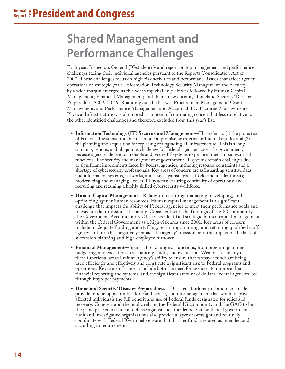# **Shared Management and Performance Challenges**

Each year, Inspectors General (IGs) identify and report on top management and performance challenges facing their individual agencies pursuant to the Reports Consolidation Act of 2000. These challenges focus on high-risk activities and performance issues that affect agency operations or strategic goals. Information Technology Security Management and Security by a wide margin emerged as this year's top challenge. It was followed by Human Capital Management; Financial Management; and then a new entrant, Homeland Security/Disaster Preparedness/COVID-19. Rounding out the list was Procurement Management; Grant Management; and Performance Management and Accountability. Facilities Management/ Physical Infrastructure was also noted as an item of continuing concern but less so relative to the other identified challenges and therefore excluded from this year's list.

- **Information Technology (IT) Security and Management—This refers to (1) the protection** of Federal IT systems from intrusion or compromise by external or internal entities and (2) the planning and acquisition for replacing or upgrading IT infrastructure. This is a longstanding, serious, and ubiquitous challenge for Federal agencies across the government, because agencies depend on reliable and secure IT systems to perform their mission-critical functions. The security and management of government IT systems remain challenges due to significant impediments faced by Federal agencies, including resource constraints and a shortage of cybersecurity professionals. Key areas of concern are safeguarding sensitive data and information systems, networks, and assets against cyber-attacks and insider threats; modernizing and managing Federal IT systems; ensuring continuity of operations; and recruiting and retaining a highly skilled cybersecurity workforce.
- **• Human Capital Management**—Relates to recruiting, managing, developing, and optimizing agency human resources. Human capital management is a significant challenge that impacts the ability of Federal agencies to meet their performance goals and to execute their missions efficiently. Consistent with the findings of the IG community, the Government Accountability Office has identified strategic human capital management within the Federal Government as a high-risk area since 2001. Key areas of concern include inadequate funding and staffing; recruiting, training, and retaining qualified staff; agency cultures that negatively impact the agency's mission; and the impact of the lack of succession planning and high employee turnover.
- **• Financial Management**—Spans a broad range of functions, from program planning, budgeting, and execution to accounting, audit, and evaluation. Weaknesses in any of these functional areas limit an agency's ability to ensure that taxpayer funds are being used efficiently and effectively and constitute a significant risk to Federal programs and operations. Key areas of concern include both the need for agencies to improve their financial reporting and systems, and the significant amount of dollars Federal agencies lose through improper payments.
- **• Homeland Security/Disaster Preparedness**—Disasters, both natural and man-made, provide unique opportunities for fraud, abuse, and mismanagement that would deprive affected individuals the full benefit and use of Federal funds designated for relief and recovery. Congress and the public rely on the Federal IG community and the GAO to be the principal Federal line of defense against such incidents. State and local government audit and investigative organizations also provide a layer of oversight and routinely coordinate with Federal IGs to help ensure that disaster funds are used as intended and according to requirements.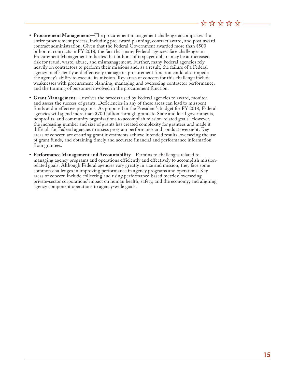### <u> ☆☆☆☆☆ ~</u>

- **• Procurement Management**—The procurement management challenge encompasses the entire procurement process, including pre-award planning, contract award, and post-award contract administration. Given that the Federal Government awarded more than \$500 billion in contracts in FY 2018, the fact that many Federal agencies face challenges in Procurement Management indicates that billions of taxpayer dollars may be at increased risk for fraud, waste, abuse, and mismanagement. Further, many Federal agencies rely heavily on contractors to perform their missions and, as a result, the failure of a Federal agency to efficiently and effectively manage its procurement function could also impede the agency's ability to execute its mission. Key areas of concern for this challenge include weaknesses with procurement planning, managing and overseeing contractor performance, and the training of personnel involved in the procurement function.
- **• Grant Management**—Involves the process used by Federal agencies to award, monitor, and assess the success of grants. Deficiencies in any of these areas can lead to misspent funds and ineffective programs. As proposed in the President's budget for FY 2018, Federal agencies will spend more than \$700 billion through grants to State and local governments, nonprofits, and community organizations to accomplish mission-related goals. However, the increasing number and size of grants has created complexity for grantees and made it difficult for Federal agencies to assess program performance and conduct oversight. Key areas of concern are ensuring grant investments achieve intended results, overseeing the use of grant funds, and obtaining timely and accurate financial and performance information from grantees.
- **• Performance Management and Accountability**—Pertains to challenges related to managing agency programs and operations efficiently and effectively to accomplish missionrelated goals. Although Federal agencies vary greatly in size and mission, they face some common challenges in improving performance in agency programs and operations. Key areas of concern include collecting and using performance-based metrics; overseeing private-sector corporations' impact on human health, safety, and the economy; and aligning agency component operations to agency-wide goals.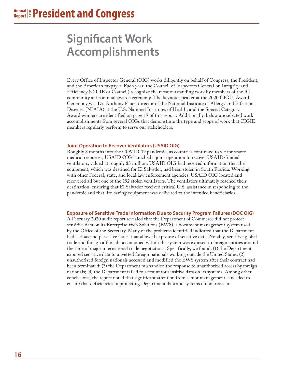# **Significant Work Accomplishments**

Every Office of Inspector General (OIG) works diligently on behalf of Congress, the President, and the American taxpayer. Each year, the Council of Inspectors General on Integrity and Efficiency (CIGIE or Council) recognize the most outstanding work by members of the IG community at its annual awards ceremony. The keynote speaker at the 2020 CIGIE Award Ceremony was Dr. Anthony Fauci, director of the National Institute of Allergy and Infectious Diseases (NIAIA) at the U.S. National Institutes of Health, and the Special Category Award winners are identified on page 19 of this report. Additionally, below are selected work accomplishments from several OIGs that demonstrate the type and scope of work that CIGIE members regularly perform to serve our stakeholders.

#### **Joint Operation to Recover Ventilators (USAID OIG)**

Roughly 8 months into the COVID-19 pandemic, as countries continued to vie for scarce medical resources, USAID OIG launched a joint operation to recover USAID-funded ventilators, valued at roughly \$3 million. USAID OIG had received information that the equipment, which was destined for El Salvador, had been stolen in South Florida. Working with other Federal, state, and local law enforcement agencies, USAID OIG located and recovered all but one of the 192 stolen ventilators. The ventilators ultimately reached their destination, ensuring that El Salvador received critical U.S. assistance in responding to the pandemic and that life-saving equipment was delivered to the intended beneficiaries.

#### **Exposure of Sensitive Trade Information Due to Security Program Failures (DOC OIG)**

A February 2020 audit report revealed that the Department of Commerce did not protect sensitive data on its Enterprise Web Solutions (EWS), a document management system used by the Office of the Secretary. Many of the problems identified indicated that the Department had serious and pervasive issues that allowed exposure of sensitive data. Notably, sensitive global trade and foreign affairs data contained within the system was exposed to foreign entities around the time of major international trade negotiations. Specifically, we found: (1) the Department exposed sensitive data to unvetted foreign nationals working outside the United States; (2) unauthorized foreign nationals accessed and modified the EWS system after their contract had been terminated; (3) the Department mishandled the response to unauthorized access by foreign nationals; (4) the Department failed to account for sensitive data on its systems. Among other conclusions, the report noted that significant attention from senior management is needed to ensure that deficiencies in protecting Department data and systems do not reoccur.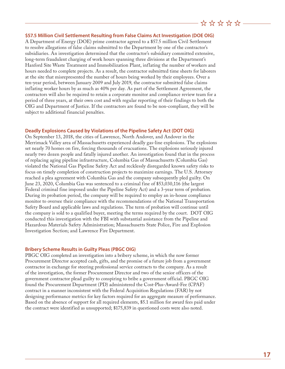### <u> ☆☆☆☆☆ -</u>

#### **\$57.5 Million Civil Settlement Resulting from False Claims Act Investigation (DOE OIG)**

A Department of Energy (DOE) prime contractor agreed to a \$57.5 million Civil Settlement to resolve allegations of false claims submitted to the Department by one of the contractor's subsidiaries. An investigation determined that the contractor's subsidiary committed extensive, long-term fraudulent charging of work hours spanning three divisions at the Department's Hanford Site Waste Treatment and Immobilization Plant, inflating the number of workers and hours needed to complete projects. As a result, the contractor submitted time sheets for laborers at the site that misrepresented the number of hours being worked by their employees. Over a ten-year period, between January 2009 and July 2019, the contractor submitted false claims inflating worker hours by as much as 40% per day. As part of the Settlement Agreement, the contractors will also be required to retain a corporate monitor and compliance review team for a period of three years, at their own cost and with regular reporting of their findings to both the OIG and Department of Justice. If the contractors are found to be non-compliant, they will be subject to additional financial penalties.

#### **Deadly Explosions Caused by Violations of the Pipeline Safety Act (DOT OIG)**

On September 13, 2018, the cities of Lawrence, North Andover, and Andover in the Merrimack Valley area of Massachusetts experienced deadly gas-line explosions. The explosions set nearly 70 homes on fire, forcing thousands of evacuations. The explosions seriously injured nearly two dozen people and fatally injured another. An investigation found that in the process of replacing aging pipeline infrastructure, Columbia Gas of Massachusetts (Columbia Gas) violated the National Gas Pipeline Safety Act and recklessly disregarded known safety risks to focus on timely completion of construction projects to maximize earnings. The U.S. Attorney reached a plea agreement with Columbia Gas and the company subsequently pled guilty. On June 23, 2020, Columbia Gas was sentenced to a criminal fine of \$53,030,116 (the largest Federal criminal fine imposed under the Pipeline Safety Act) and a 3-year term of probation. During its probation period, the company will be required to employ an in-house compliance monitor to oversee their compliance with the recommendations of the National Transportation Safety Board and applicable laws and regulations. The term of probation will continue until the company is sold to a qualified buyer, meeting the terms required by the court. DOT OIG conducted this investigation with the FBI with substantial assistance from the Pipeline and Hazardous Materials Safety Administration; Massachusetts State Police, Fire and Explosion Investigation Section; and Lawrence Fire Department.

#### **Bribery Scheme Results in Guilty Pleas (PBGC OIG)**

PBGC OIG completed an investigation into a bribery scheme, in which the now former Procurement Director accepted cash, gifts, and the promise of a future job from a government contractor in exchange for steering professional service contracts to the company. As a result of the investigation, the former Procurement Director and two of the senior officers of the government contractor plead guilty to conspiring to bribe a government official. PBGC OIG found the Procurement Department (PD) administered the Cost-Plus-Award-Fee (CPAF) contract in a manner inconsistent with the Federal Acquisition Regulations (FAR) by not designing performance metrics for key factors required for an aggregate measure of performance. Based on the absence of support for all required elements, \$5.1 million for award fees paid under the contract were identified as unsupported; \$175,839 in questioned costs were also noted.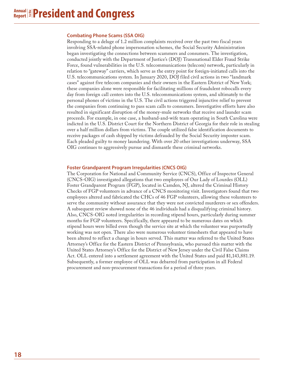#### **Combating Phone Scams (SSA OIG)**

Responding to a deluge of 1.2 million complaints received over the past two fiscal years involving SSA-related phone impersonation schemes, the Social Security Administration began investigating the connections between scammers and consumers. The investigation, conducted jointly with the Department of Justice's (DOJ) Transnational Elder Fraud Strike Force, found vulnerabilities in the U.S. telecommunications (telecom) network, particularly in relation to "gateway" carriers, which serve as the entry point for foreign-initiated calls into the U.S. telecommunications system. In January 2020, DOJ filed civil actions in two "landmark cases" against five telecom companies and their owners in the Eastern District of New York; these companies alone were responsible for facilitating millions of fraudulent robocalls every day from foreign call centers into the U.S. telecommunications system, and ultimately to the personal phones of victims in the U.S. The civil actions triggered injunctive relief to prevent the companies from continuing to pass scam calls to consumers. Investigative efforts have also resulted in significant disruption of the money-mule networks that receive and launder scam proceeds. For example, in one case, a husband-and-wife team operating in South Carolina were indicted in the U.S. District Court for the Northern District of Georgia for their role in stealing over a half million dollars from victims. The couple utilized false identification documents to receive packages of cash shipped by victims defrauded by the Social Security imposter scam. Each pleaded guilty to money laundering. With over 20 other investigations underway, SSA OIG continues to aggressively pursue and dismantle these criminal networks.

#### **Foster Grandparent Program Irregularities (CNCS OIG)**

The Corporation for National and Community Service (CNCS), Office of Inspector General (CNCS-OIG) investigated allegations that two employees of Our Lady of Lourdes (OLL) Foster Grandparent Program (FGP), located in Camden, NJ, altered the Criminal History Checks of FGP volunteers in advance of a CNCS monitoring visit. Investigators found that two employees altered and fabricated the CHCs of 46 FGP volunteers, allowing these volunteers to serve the community without assurance that they were not convicted murderers or sex offenders. A subsequent review showed none of the 46 individuals had a disqualifying criminal history. Also, CNCS-OIG noted irregularities in recording stipend hours, particularly during summer months for FGP volunteers. Specifically, there appeared to be numerous dates on which stipend hours were billed even though the service site at which the volunteer was purportedly working was not open. There also were numerous volunteer timesheets that appeared to have been altered to reflect a change in hours served. This matter was referred to the United States Attorney's Office for the Eastern District of Pennsylvania, who pursued this matter with the United States Attorney's Office for the District of New Jersey under the Civil False Claims Act. OLL entered into a settlement agreement with the United States and paid \$1,143,881.19. Subsequently, a former employee of OLL was debarred from participation in all Federal procurement and non-procurement transactions for a period of three years.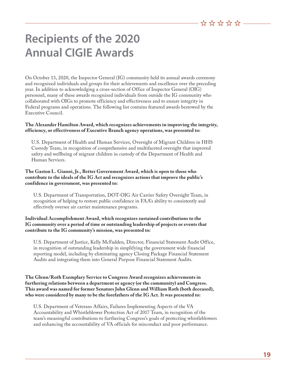# **Recipients of the 2020 Annual CIGIE Awards**

On October 13, 2020, the Inspector General (IG) community held its annual awards ceremony and recognized individuals and groups for their achievements and excellence over the preceding year. In addition to acknowledging a cross-section of Office of Inspector General (OIG) personnel, many of these awards recognized individuals from outside the IG community who collaborated with OIGs to promote efficiency and effectiveness and to ensure integrity in Federal programs and operations. The following list contains featured awards bestowed by the Executive Council.

#### **The Alexander Hamilton Award, which recognizes achievements in improving the integrity, efficiency, or effectiveness of Executive Branch agency operations, was presented to:**

U.S. Department of Health and Human Services, Oversight of Migrant Children in HHS Custody Team, in recognition of comprehensive and multifaceted oversight that improved safety and wellbeing of migrant children in custody of the Department of Health and Human Services.

#### **The Gaston L. Gianni, Jr., Better Government Award, which is open to those who contribute to the ideals of the IG Act and recognizes actions that improve the public's confidence in government, was presented to:**

U.S. Department of Transportation, DOT-OIG Air Carrier Safety Oversight Team, in recognition of helping to restore public confidence in FAA's ability to consistently and effectively oversee air carrier maintenance programs.

#### **Individual Accomplishment Award, which recognizes sustained contributions to the IG community over a period of time or outstanding leadership of projects or events that contribute to the IG community's mission, was presented to:**

U.S. Department of Justice, Kelly McFadden, Director, Financial Statement Audit Office, in recognition of outstanding leadership in simplifying the government wide financial reporting model, including by eliminating agency Closing Package Financial Statement Audits and integrating them into General Purpose Financial Statement Audits.

#### **The Glenn/Roth Exemplary Service to Congress Award recognizes achievements in furthering relations between a department or agency (or the community) and Congress. This award was named for former Senators John Glenn and William Roth (both deceased), who were considered by many to be the forefathers of the IG Act. It was presented to:**

U.S. Department of Veterans Affairs, Failures Implementing Aspects of the VA Accountability and Whistleblower Protection Act of 2017 Team, in recognition of the team's meaningful contributions to furthering Congress's goals of protecting whistleblowers and enhancing the accountability of VA officials for misconduct and poor performance.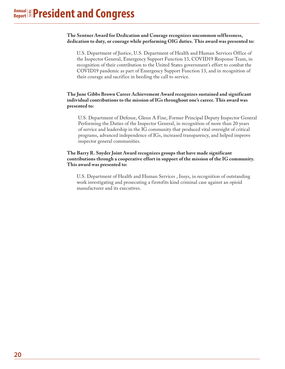#### **The Sentner Award for Dedication and Courage recognizes uncommon selflessness, dedication to duty, or courage while performing OIG duties. This award was presented to:**

U.S. Department of Justice, U.S. Department of Health and Human Services Office of the Inspector General, Emergency Support Function 13, COVID19 Response Team, in recognition of their contribution to the United States government's effort to combat the COVID19 pandemic as part of Emergency Support Function 13, and in recognition of their courage and sacrifice in heeding the call to service.

#### **The June Gibbs Brown Career Achievement Award recognizes sustained and significant individual contributions to the mission of IGs throughout one's career. This award was presented to:**

U.S. Department of Defense, Glenn A Fine, Former Principal Deputy Inspector General Performing the Duties of the Inspector General, in recognition of more than 20 years of service and leadership in the IG community that produced vital oversight of critical programs, advanced independence of IGs, increased transparency, and helped improve inspector general communities.

#### **The Barry R. Snyder Joint Award recognizes groups that have made significant contributions through a cooperative effort in support of the mission of the IG community. This award was presented to:**

U.S. Department of Health and Human Services , Insys, in recognition of outstanding work investigating and prosecuting a firstofits kind criminal case against an opioid manufacturer and its executives.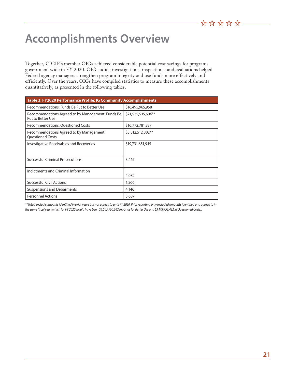# **Accomplishments Overview**

Together, CIGIE's member OIGs achieved considerable potential cost savings for programs government wide in FY 2020. OIG audits, investigations, inspections, and evaluations helped Federal agency managers strengthen program integrity and use funds more effectively and efficiently. Over the years, OIGs have compiled statistics to measure these accomplishments quantitatively, as presented in the following tables.

| Table 3. FY2020 Performance Profile: IG Community Accomplishments      |                    |  |  |  |
|------------------------------------------------------------------------|--------------------|--|--|--|
| Recommendations: Funds Be Put to Better Use                            | \$16,495,965,958   |  |  |  |
| Recommendations Agreed to by Management: Funds Be<br>Put to Better Use | \$21,525,535,696** |  |  |  |
| <b>Recommendations: Questioned Costs</b>                               | \$16,772,781,337   |  |  |  |
| Recommendations Agreed to by Management:<br><b>Ouestioned Costs</b>    | \$5,812,512,002**  |  |  |  |
| Investigative Receivables and Recoveries                               | \$19,731,651,945   |  |  |  |
| <b>Successful Criminal Prosecutions</b>                                | 3,467              |  |  |  |
| Indictments and Criminal Information                                   | 4,082              |  |  |  |
| <b>Successful Civil Actions</b>                                        | 1,266              |  |  |  |
| <b>Suspensions and Debarments</b>                                      | 4,146              |  |  |  |
| <b>Personnel Actions</b>                                               | 3,687              |  |  |  |

*\*\*Totals include amounts identified in prior years but not agreed to until FY 2020. Prior reporting only included amounts identified and agreed to in the same fiscal year (which for FY 2020 would have been \$5,505,760,642 in Funds for Better Use and \$3,173,753,422 in Questioned Costs).*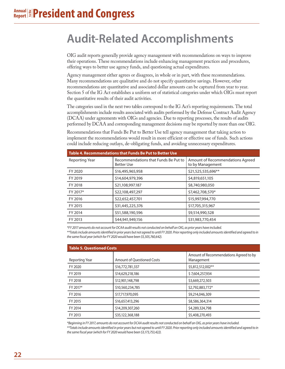# **Audit-Related Accomplishments**

OIG audit reports generally provide agency management with recommendations on ways to improve their operations. These recommendations include enhancing management practices and procedures, offering ways to better use agency funds, and questioning actual expenditures.

Agency management either agrees or disagrees, in whole or in part, with these recommendations. Many recommendations are qualitative and do not specify quantitative savings. However, other recommendations are quantitative and associated dollar amounts can be captured from year to year. Section 5 of the IG Act establishes a uniform set of statistical categories under which OIGs must report the quantitative results of their audit activities.

The categories used in the next two tables correspond to the IG Act's reporting requirements. The total accomplishments include results associated with audits performed by the Defense Contract Audit Agency (DCAA) under agreements with OIGs and agencies. Due to reporting processes, the results of audits performed by DCAA and corresponding management decisions may be reported by more than one OIG.

Recommendations that Funds Be Put to Better Use tell agency management that taking action to implement the recommendations would result in more efficient or effective use of funds. Such actions could include reducing outlays, de-obligating funds, and avoiding unnecessary expenditures.

| Table 4. Recommendations that Funds Be Put to Better Use |                                                           |                                                      |  |  |
|----------------------------------------------------------|-----------------------------------------------------------|------------------------------------------------------|--|--|
| Reporting Year                                           | Recommendations that Funds Be Put to<br><b>Better Use</b> | Amount of Recommendations Agreed<br>to by Management |  |  |
| FY 2020                                                  | \$16,495,965,958                                          | \$21,525,535,696**                                   |  |  |
| FY 2019                                                  | \$14,604,979,396                                          | \$4,819,651,105                                      |  |  |
| FY 2018                                                  | \$21,108,997.187                                          | \$8,740,980,050                                      |  |  |
| FY 2017*                                                 | \$22,108,497,297                                          | \$7,462,708,570*                                     |  |  |
| FY 2016                                                  | \$22,652,457,701                                          | \$15,997,994,770                                     |  |  |
| FY 2015                                                  | \$31,445,225,376                                          | \$17,705,315,967                                     |  |  |
| FY 2014                                                  | \$51,588,190,596                                          | \$9,514,990,528                                      |  |  |
| FY 2013                                                  | \$44,941,949,156                                          | \$31,983,770,454                                     |  |  |

*\*FY 2017 amounts do not account for DCAA audit results not conducted on behalf an OIG, as prior years have included.*

*\*\*Totals include amounts identified in prior years but not agreed to until FY 2020. Prior reporting only included amounts identified and agreed to in the same fiscal year (which for FY 2020 would have been \$5,505,760,642).* 

| <b>Table 5. Questioned Costs</b> |                            |                                                      |  |
|----------------------------------|----------------------------|------------------------------------------------------|--|
| Reporting Year                   | Amount of Questioned Costs | Amount of Recommendations Agreed to by<br>Management |  |
| FY 2020                          | \$16,772,781,337           | \$5,812,512,002**                                    |  |
| FY 2019                          | \$14,629,218,186           | \$7,604,257,934                                      |  |
| FY 2018                          | \$12,901,148,798           | \$3,669,272,503                                      |  |
| FY 2017*                         | \$10,560,234,785           | \$2,792,883,772*                                     |  |
| FY 2016                          | \$17,717,970,095           | \$9,214,046,309                                      |  |
| FY 2015                          | \$16,657,413,296           | \$8,586,364,314                                      |  |
| FY 2014                          | \$14,209,307,260           | \$4,289,324,798                                      |  |
| FY 2013                          | \$35,122,368,188           | \$5,408,270,493                                      |  |

*\*Beginning in FY 2017, amounts do not account for DCAA audit results not conducted on behalf an OIG, as prior years have included. \*\*Totals include amounts identified in prior years but not agreed to until FY 2020. Prior reporting only included amounts identified and agreed to in the same fiscal year (which for FY 2020 would have been \$3,173,753,422).*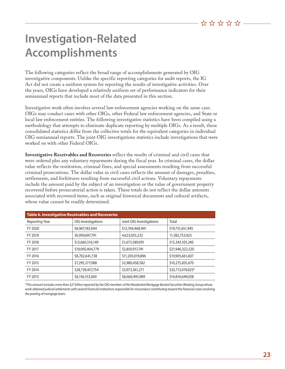# **Investigation-Related Accomplishments**

The following categories reflect the broad range of accomplishments generated by OIG investigative components. Unlike the specific reporting categories for audit reports, the IG Act did not create a uniform system for reporting the results of investigative activities. Over the years, OIGs have developed a relatively uniform set of performance indicators for their semiannual reports that include most of the data presented in this section.

Investigative work often involves several law enforcement agencies working on the same case. OIGs may conduct cases with other OIGs, other Federal law enforcement agencies, and State or local law enforcement entities. The following investigative statistics have been compiled using a methodology that attempts to eliminate duplicate reporting by multiple OIGs. As a result, these consolidated statistics differ from the collective totals for the equivalent categories in individual OIG semiannual reports. The joint OIG investigations statistics include investigations that were worked on with other Federal OIGs.

**Investigative Receivables and Recoveries** reflect the results of criminal and civil cases that were ordered plus any voluntary repayments during the fiscal year. In criminal cases, the dollar value reflects the restitution, criminal fines, and special assessments resulting from successful criminal prosecutions. The dollar value in civil cases reflects the amount of damages, penalties, settlements, and forfeitures resulting from successful civil actions. Voluntary repayments include the amount paid by the subject of an investigation or the value of government property recovered before prosecutorial action is taken. These totals do not reflect the dollar amounts associated with recovered items, such as original historical documents and cultural artifacts, whose value cannot be readily determined.

| <b>Table 6. Investigative Receivables and Recoveries</b> |                    |                          |                   |
|----------------------------------------------------------|--------------------|--------------------------|-------------------|
| <b>Reporting Year</b>                                    | OIG Investigations | Joint OIG Investigations | Total             |
| FY 2020                                                  | \$6,967,183,004    | \$12,764,468,941         | \$19,731,651,945  |
| FY 2019                                                  | \$6,959,697,791    | 4,623,055,232            | 11,582,753,023    |
| FY 2018                                                  | \$13,660,516,149   | \$1,673,589,091          | \$15,343,105,240  |
| FY 2017                                                  | \$19,095,404,779   | \$2,850,917,741          | \$21,946,322,520  |
| FY 2016                                                  | \$8,702,641,738    | \$11,203,019,896         | \$19,905,661,607  |
| FY 2015                                                  | \$7,295,377,088    | \$2,980,458,582          | \$10,275,835,670  |
| FY 2014                                                  | \$28,739,457,754   | \$3,973,561,271          | \$32,713,019,025* |
| FY 2013                                                  | \$6,156,153,069    | \$8,660,495,989          | \$14,816,649,058  |

*\*This amount includes more than \$27 billion reported by the OIG members of the Residential Mortgage Backed Securities Working Group whose*  work obtained judicial settlements with several financial institutions responsible for misconduct contributing toward the financial crises involving *the pooling of mortgage loans.*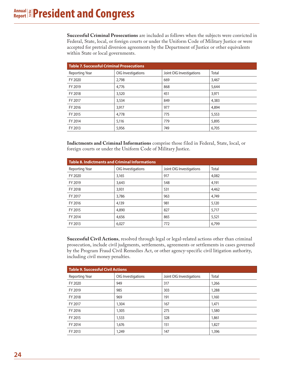**Successful Criminal Prosecutions** are included as follows when the subjects were convicted in Federal, State, local, or foreign courts or under the Uniform Code of Military Justice or were accepted for pretrial diversion agreements by the Department of Justice or other equivalents within State or local governments.

| <b>Table 7. Successful Criminal Prosecutions</b> |                    |                          |       |
|--------------------------------------------------|--------------------|--------------------------|-------|
| Reporting Year                                   | OIG Investigations | Joint OIG Investigations | Total |
| FY 2020                                          | 2.798              | 669                      | 3,467 |
| FY 2019                                          | 4,776              | 868                      | 5.644 |
| FY 2018                                          | 3,520              | 451                      | 3,971 |
| FY 2017                                          | 3,534              | 849                      | 4,383 |
| FY 2016                                          | 3,917              | 977                      | 4,894 |
| FY 2015                                          | 4,778              | 775                      | 5,553 |
| FY 2014                                          | 5,116              | 779                      | 5,895 |
| FY 2013                                          | 5,956              | 749                      | 6,705 |

**Indictments and Criminal Informations** comprise those filed in Federal, State, local, or foreign courts or under the Uniform Code of Military Justice.

| Table 8. Indictments and Criminal Informations |                    |                          |       |
|------------------------------------------------|--------------------|--------------------------|-------|
| Reporting Year                                 | OIG Investigations | Joint OIG Investigations | Total |
| FY 2020                                        | 3,165              | 917                      | 4,082 |
| FY 2019                                        | 3,643              | 548                      | 4,191 |
| FY 2018                                        | 3,931              | 531                      | 4,462 |
| FY 2017                                        | 3.786              | 963                      | 4,749 |
| FY 2016                                        | 4,139              | 981                      | 5,120 |
| FY 2015                                        | 4,890              | 827                      | 5.717 |
| FY 2014                                        | 4,656              | 865                      | 5,521 |
| FY 2013                                        | 6,027              | 772                      | 6,799 |

**Successful Civil Actions**, resolved through legal or legal-related actions other than criminal prosecution, include civil judgments, settlements, agreements or settlements in cases governed by the Program Fraud Civil Remedies Act, or other agency-specific civil litigation authority, including civil money penalties.

| <b>Table 9. Successful Civil Actions</b> |                    |                          |       |  |
|------------------------------------------|--------------------|--------------------------|-------|--|
| Reporting Year                           | OIG Investigations | Joint OIG Investigations | Total |  |
| FY 2020                                  | 949                | 317                      | 1,266 |  |
| FY 2019                                  | 985                | 303                      | 1,288 |  |
| FY 2018                                  | 969                | 191                      | 1,160 |  |
| FY 2017                                  | 1,304              | 167                      | 1,471 |  |
| FY 2016                                  | 1,305              | 275                      | 1,580 |  |
| FY 2015                                  | 1,533              | 328                      | 1,861 |  |
| FY 2014                                  | 1,676              | 151                      | 1,827 |  |
| FY 2013                                  | 1,249              | 147                      | 1,396 |  |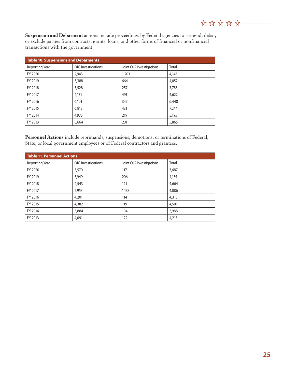**Suspension and Debarment** actions include proceedings by Federal agencies to suspend, debar, or exclude parties from contracts, grants, loans, and other forms of financial or nonfinancial transactions with the government.

| <b>Table 10. Suspensions and Debarments</b> |                    |                          |       |  |
|---------------------------------------------|--------------------|--------------------------|-------|--|
| Reporting Year                              | OIG Investigations | Joint OIG Investigations | Total |  |
| FY 2020                                     | 2,943              | 1,203                    | 4,146 |  |
| FY 2019                                     | 3,388              | 664                      | 4,052 |  |
| FY 2018                                     | 3,528              | 257                      | 3,785 |  |
| FY 2017                                     | 4,131              | 491                      | 4,622 |  |
| FY 2016                                     | 6,101              | 347                      | 6,448 |  |
| FY 2015                                     | 6,813              | 431                      | 7,244 |  |
| FY 2014                                     | 4,976              | 219                      | 5,195 |  |
| FY 2013                                     | 5,664              | 201                      | 5,865 |  |

**Personnel Actions** include reprimands, suspensions, demotions, or terminations of Federal, State, or local government employees or of Federal contractors and grantees.

| <b>Table 11. Personnel Actions</b> |                    |                          |       |  |
|------------------------------------|--------------------|--------------------------|-------|--|
| Reporting Year                     | OIG Investigations | Joint OIG Investigations | Total |  |
| FY 2020                            | 3,570              | 117                      | 3,687 |  |
| FY 2019                            | 3,949              | 206                      | 4,155 |  |
| FY 2018                            | 4,543              | 121                      | 4,664 |  |
| FY 2017                            | 2,953              | 1,133                    | 4,086 |  |
| FY 2016                            | 4,201              | 114                      | 4,315 |  |
| FY 2015                            | 4,382              | 119                      | 4,501 |  |
| FY 2014                            | 3,884              | 104                      | 3,988 |  |
| FY 2013                            | 4,091              | 122                      | 4,213 |  |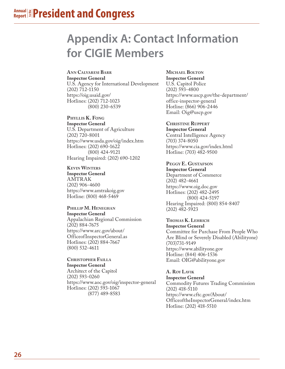# **Appendix A: Contact Information for CIGIE Members**

#### **Ann Calvaresi Barr Inspector General**

U.S. Agency for International Development (202) 712-1150 https://oig.usaid.gov/ Hotlines: (202) 712-1023 (800) 230-6539

#### **Phyllis K. Fong Inspector General**

U.S. Department of Agriculture (202) 720-8001 https://www.usda.gov/oig/index.htm Hotlines: (202) 690-1622 (800) 424-9121 Hearing Impaired: (202) 690-1202

### **Kevin Winters**

**Inspector General**  AMTRAK (202) 906-4600 https://www.amtrakoig.gov Hotline: (800) 468-5469

#### **Phillip M. Heneghan Inspector General**

Appalachian Regional Commission (202) 884-7675 https://www.arc.gov/about/ OfficeofInspectorGeneral.as Hotlines: (202) 884-7667 (800) 532-4611

#### **Christopher Failla Inspector General**

Architect of the Capitol (202) 593-0260 https://www.aoc.gov/oig/inspector-general Hotlines: (202) 593-1067 (877) 489-8583

#### **Michael Bolton Inspector General**

U.S. Capitol Police (202) 593-4800 https://www.uscp.gov/the-department/ office-inspector-general Hotline: (866) 906-2446 Email: Oig@uscp.gov

### **Christine Ruppert**

**Inspector General**  Central Intelligence Agency (703) 374-8050 https://www.cia.gov/index.html Hotline: (703) 482-9500

## **Peggy E. Gustafson**

**Inspector General**  Department of Commerce (202) 482-4661 https://www.oig.doc.gov Hotlines: (202) 482-2495 (800) 424-5197 Hearing Impaired: (800) 854-8407 (202) 482-5923

### **Thomas K. Lehrich**

**Inspector General** Committee for Purchase From People Who Are Blind or Severely Disabled (Abilityone) (703)731-9149 https://www.abilityone.gov Hotline: (844) 406-1536 Email: OIG@abilityone.gov

### **A. Roy Lavik**

**Inspector General** Commodity Futures Trading Commission (202) 418-5110 https://www.cftc.gov/About/ OfficeoftheInspectorGeneral/index.htm Hotline: (202) 418-5510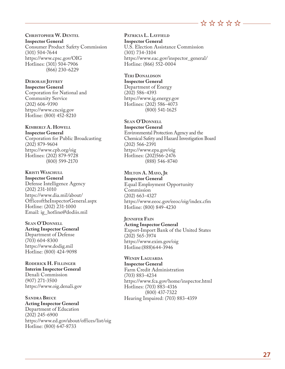$\stackrel{\leftrightarrow}{\alpha}$   $\stackrel{\leftrightarrow}{\alpha}$   $\stackrel{\leftrightarrow}{\alpha}$   $\stackrel{\leftrightarrow}{\alpha}$   $\stackrel{\rightarrow}{\cdots}$ 

**Christo pher W. Dentel Inspector General** Consumer Product Safety Commission (301) 504-7644 https://www.cpsc.gov/OIG Hotlines: (301) 504-7906 (866) 230-6229

#### $\bf D$ eborah Jeffrey **a Inspector General**

Corporation for National and Community Service (202) 606-9390 https://www.cncsig.gov Hotline: (800) 452-8210

#### **Kimberly A. Howell Inspector General**

Corporation for Public Broadcasting (202) 879-9604 https://www.cpb.org/oig Hotlines: (202) 879-9728 (800) 599-2170

**K**RISTI WASCHULL **Inspector General**  Defense Intelligence Agency (202) 231-1010 https://www.dia.mil/about/ OfficeoftheInspectorGeneral.aspx Hotline: (202) 231-1000 Email: ig\_hotline@dodiis.mil

### **Sean O'Donnell**

**Acting Inspector General**  Department of Defense (703) 604-8300 https://www.dodig.mil Hotline: (800) 424-9098

**Roderick H. Fillinger Interim Inspector General** Denali Commission (907) 271-3500 https://www.oig.denali.gov

**Sandra Bruce Acting Inspector General** Department of Education (202) 245-6900 https://www.ed.gov/about/offices/list/oig Hotline: (800) 647-8733

**Patri i L. L ay fiel c a d Inspector General**

U.S. Election Assistance Commission (301) 734-3104 https://www.eac.gov/inspector\_general/ Hotline: (866) 552-0004

### **Teri Donaldson**

**Inspector General**  Department of Energy (202) 586-4393 https://www.ig.energy.gov Hotlines: (202) 586-4073 (800) 541-1625

#### **S e n O'Donnell a**

**Inspector General** Environmental Protection Agency and the Chemical Safety and Hazard Investigation Board (202) 566-2391 https://www.epa.gov/oig Hotlines: (202)566-2476 (888) 546-8740

**Milton A. M ayo, J r Inspector General** Equal Employment Opportunity Commission (202) 663-4327 https://www.eeoc.gov/eeoc/oig/index.cfm Hotline: (800) 849-4230

*<u>JENNIFER FAIN</u>* **Acting Inspector General** Export-Import Bank of the United States (202) 565-3974 https://www.exim.gov/oig Hotline:(888)644-3946

**Wendy Laguarda Inspector General** Farm Credit Administration (703) 883-4234 https://www.fca.gov/home/inspector.html Hotlines: (703) 883-4316 (800) 437-7322 Hearing Impaired: (703) 883-4359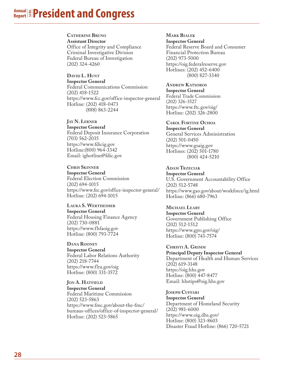#### **Annual Report to the President and Congress**

#### **Catherine Bruno**

**Assistant Director**  Office of Integrity and Compliance Criminal Investigative Division Federal Bureau of Investigation (202) 324-4260

### **David L. Hunt**

**Inspector General** Federal Communications Commission (202) 418-1522 https://www.fcc.gov/office-inspector-general Hotline: (202) 418-0473 (888) 863-2244

### **J ay N. Lerner**

**Inspector General** Federal Deposit Insurance Corporation (703) 562-2035 https://www.fdicig.gov Hotline:(800) 964-3342 Email: ighotline@fdic.gov

#### **Chris Skinner**

**Inspector General**  Federal Election Commission (202) 694-1015 https://www.fec.gov/office-inspector-general/ Hotline: (202) 694-1015

#### **Laura S. Wertheimer Inspector General**  Federal Housing Finance Agency (202) 730-0881 https://www.fhfaoig.gov Hotline: (800) 793-7724

**Dana Rooney Inspector General** Federal Labor Relations Authority (202) 218-7744 https://www.flra.gov/oig Hotline: (800) 331-3572

**JON A. HATFIELD Inspector General** Federal Maritime Commission (202) 523-5863 https://www.fmc.gov/about-the-fmc/ bureaus-offices/office-of-inspector-general/ Hotline: (202) 523-5865

#### **M**ARK **B**IALE **a k**

**Inspector General** Federal Reserve Board and Consumer Financial Protection Bureau (202) 973-5000 https://oig.federalreserve.gov Hotlines: (202) 452-6400

(800) 827-3340

#### **A n dre w K atsoros Inspector General**

Federal Trade Commission (202) 326-3527 https://www.ftc.gov/oig/ Hotline: (202) 326-2800

#### **Carol Fortine Ochoa**

**Inspector General** General Services Administration (202) 501-0450 https://www.gsaig.gov Hotlines: (202) 501-1780 (800) 424-5210

#### **Adam Trze iak c**

**Inspector General** U.S. Government Accountability Office (202) 512-5748 https://www.gao.gov/about/workforce/ig.html Hotline: (866) 680-7963

#### **Michael Leary Inspector General**  Government Publishing Office (202) 512-1512 https://www.gpo.gov/oig/ Hotline: (800) 743-7574

**Christi A. Grimm Principal Deputy Inspector General** Department of Health and Human Services (202) 619-3148 https://oig.hhs.gov Hotline: (800) 447-8477 Email: hhstips@oig.hhs.gov

### **Joseph Cuffari**

**Inspector General** Department of Homeland Security (202) 981-6000 https://www.oig.dhs.gov/ Hotline: (800) 323-8603 Disaster Fraud Hotline: (866) 720-5721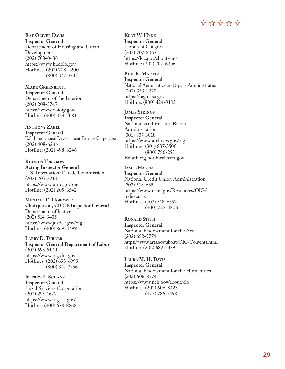$\stackrel{\leftrightarrow}{\alpha}$   $\stackrel{\leftrightarrow}{\alpha}$   $\stackrel{\leftrightarrow}{\alpha}$   $\stackrel{\leftrightarrow}{\alpha}$   $\stackrel{\rightarrow}{\cdots}$ 

**R e Oliver D avis a Inspector General** Department of Housing and Urban Development (202) 708-0430 https://www.hudoig.gov Hotlines: (202) 708-4200 (800) 347-3735

MARK GREENBLATT **a k b Inspector General** Department of the Interior (202) 208-5745

https://www.doioig.gov/ Hotline: (800) 424-5081

#### **Anthony Zakel**

**Inspector General** U.S. International Development Finance Corporation (202) 408-6246 Hotline: (202) 498-6246

**Rhonda Turnbow Acting Inspector General** U.S. International Trade Commission (202) 205-2210 https://www.usitc.gov/oig Hotline: (202) 205-6542

**Michael E. Horowitz Chairperson, CIGIE Inspector General**  Department of Justice (202) 514-3435 https://www.justice.gov/oig

**Larry D. Turner Inspector General Department of Labor**  (202) 693-5100 https://www.oig.dol.gov Hotlines: (202) 693-6999 (800) 347-3756

**J effrey E. S h anz c Inspector General** Legal Services Corporation (202) 295-1677 https://www.oig.lsc.gov/ Hotline: (800) 678-8868

Hotline: (800) 869-4499

**K**URT **W. H**YDE **d Inspector General** Library of Congress (202) 707-8063 https://loc.gov/about/oig/ Hotline: (202) 707-6306

PAUL **K. MARTIN Inspector General** National Aeronautics and Space Administration (202) 358-1220 https://oig.nasa.gov Hotline: (800) 424-9183

**James Springs**

**Inspector General** National Archives and Records Administration (301) 837-3018 https://www.archives.gov/oig Hotlines: (301) 837-3500 (800) 786-2551 Email: oig.hotline@nara.gov

**James Hagen Inspector General**

National Credit Union Administration (703) 518-635 https://www.ncua.gov/Resources/OIG/ index.aspx Hotlines: (703) 518-6357 (800) 778-4806

**Ron l Stith a d Inspector General** National Endowment for the Arts (202) 682-5774 https://www.arts.gov/about/OIG/Contents.html Hotline: (202) 682-5479

**Laura M. H. Davis Inspector General** National Endowment for the Humanities (202) 606-8574 https://www.neh.gov/about/oig Hotlines: (202) 606-8423 (877) 786-7598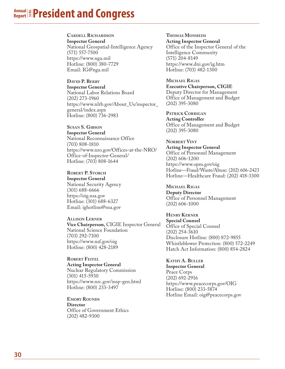#### **Annual Report to the President and Congress**

**Cardell Richardson**

**Inspector General** National Geospatial-Intelligence Agency (571) 557-7500 https://www.nga.mil Hotline: (800) 380-7729 Email: IG@nga.mil

**David P. Berry Inspector General**

National Labor Relations Board (202) 273-1960 https://www.nlrb.gov/About\_Us/inspector\_ general/index.aspx Hotline: (800) 736-2983

**Susan S. Gibson**

**Inspector General** National Reconnaissance Office (703) 808-1810 https://www.nro.gov/Offices-at-the-NRO/ Office-of-Inspector-General/ Hotline: (703) 808-1644

**Robert P. Storch Inspector General**  National Security Agency (301) 688-6666 https://oig.nsa.gov Hotline: (301) 688-6327 Email: ighotline@nsa.gov

**Allison Lerner Vice Chairperson,** CIGIE Inspector General National Science Foundation (703) 292-7100 https://www.nsf.gov/oig Hotline: (800) 428-2189

**Robert Feitel Acting Inspector General** Nuclear Regulatory Commission (301) 415-5930 https://www.nrc.gov/insp-gen.html Hotline: (800) 233-3497

**EMORY ROUNDS Director** Office of Government Ethics (202) 482-9300

**Thoma s Monhei m Acting Inspector General** Office of the Inspector General of the Intelligence Community (571) 204-8149 https://www.dni.gov/ig.htm Hotline: (703) 482-1300

**Michael Rigas Executive Chairperson, CIGIE**  Deputy Director for Management Office of Management and Budget (202) 395-3080

**Patrick Corrig n a Acting Controller** Office of Management and Budget (202) 395-3080

**Norbert Vint Acting Inspector General** Office of Personnel Management (202) 606-1200 https://www.opm.gov/oig Hotline—Fraud/Waste/Abuse: (202) 606-2423 Hotline—Healthcare Fraud: (202) 418-3300

**Michael Rigas Deputy Director** Office of Personnel Management (202) 606-1000

**Henry Kerner Special Counsel**  Office of Special Counsel (202) 254-3610 Disclosure Hotline: (800) 872-9855 Whistleblower Protection: (800) 572-2249 Hatch Act Information: (800) 854-2824

**Kathy A. Buller Inspector General** Peace Corps (202) 692-2916 https://www.peacecorps.gov/OIG Hotline: (800) 233-5874 Hotline Email: oig@peacecorps.gov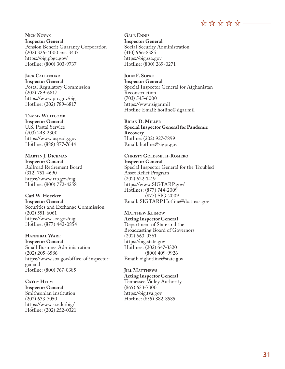

**Nick Novak Inspector General** Pension Benefit Guaranty Corporation (202) 326-4000 ext. 3437 https://oig.pbgc.gov/ Hotline: (800) 303-9737

**Jack Callendar Inspector General** Postal Regulatory Commission (202) 789-6817 https://www.prc.gov/oig Hotline: (202) 789-6817

**Tammy Whitcomb**

**Inspector General** U.S. Postal Service (703) 248-2300 https://www.uspsoig.gov Hotline: (888) 877-7644

**Martin J. Dickman Inspector General**  Railroad Retirement Board (312) 751-4690 https://www.rrb.gov/oig Hotline: (800) 772-4258

#### **Carl W. Hoecker Inspector General**

Securities and Exchange Commission (202) 551-6061 https://www.sec.gov/oig Hotline: (877) 442-0854

**Hannibal Ware Inspector General**  Small Business Administration (202) 205-6586 https://www.sba.gov/office-of-inspectorgeneral Hotline: (800) 767-0385

**Cathy Helm Inspector General** Smithsonian Institution (202) 633-7050 https://www.si.edu/oig/ Hotline: (202) 252-0321 **Gale Ennis Inspector General** Social Security Administration (410) 966-8385 https://oig.ssa.gov Hotline: (800) 269-0271

**John F. Sopko Inspector General** Special Inspector General for Afghanistan Reconstruction (703) 545-6000 https://www.sigar.mil Hotline Email: hotline@sigar.mil

**Brian D. Miller Special Inspector General for Pandemic Recovery** Hotline: (202) 927-7899 Email: hotline@sigpr.gov

**Christy Goldsmith-Romero Inspector General** Special Inspector General for the Troubled Asset Relief Program

(202) 622-1419 https://www.SIGTARP.gov/ Hotlines: (877) 744-2009 (877) SIG-2009 Email: SIGTARP.Hotline@do.treas.gov

**Matthew Klimow Acting Inspector General**  Department of State and the Broadcasting Board of Governors (202) 663-0361 https://oig.state.gov Hotlines: (202) 647-3320 (800) 409-9926 Email: oighotline@state.gov

**Jill Matthews Acting Inspector General**  Tennessee Valley Authority (865) 633-7300 https://oig.tva.gov Hotline: (855) 882-8585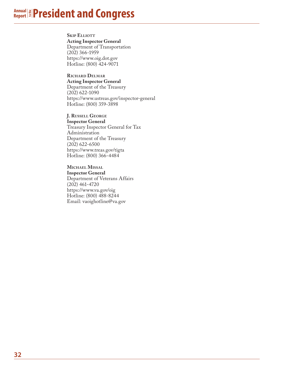#### **Annual Report to the President and Congress**

**SKIP ELLIOTT** 

**Acting Inspector General** Department of Transportation (202) 366-1959 https://www.oig.dot.gov Hotline: (800) 424-9071

#### **Richard Delmar**

**Acting Inspector General**  Department of the Treasury (202) 622-1090 https://www.ustreas.gov/inspector-general Hotline: (800) 359-3898

#### **J. Russell George**

**Inspector General** Treasury Inspector General for Tax Administration Department of the Treasury (202) 622-6500 https://www.treas.gov/tigta Hotline: (800) 366-4484

#### **Michael Missal**

**Inspector General** Department of Veterans Affairs (202) 461-4720 https://www.va.gov/oig Hotline: (800) 488-8244 Email: vaoighotline@va.gov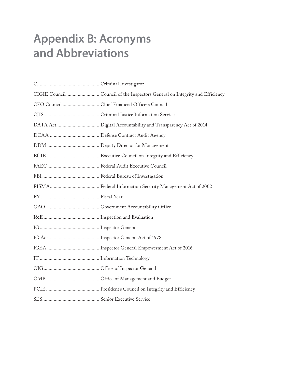# **Appendix B: Acronyms and Abbreviations**

| CFO Council  Chief Financial Officers Council |
|-----------------------------------------------|
|                                               |
|                                               |
|                                               |
|                                               |
|                                               |
|                                               |
|                                               |
|                                               |
|                                               |
|                                               |
|                                               |
|                                               |
|                                               |
|                                               |
|                                               |
|                                               |
|                                               |
|                                               |
|                                               |